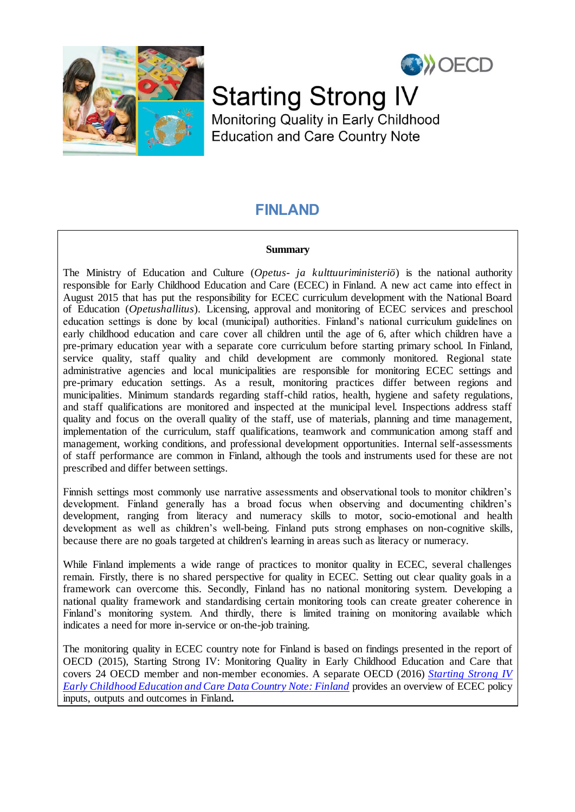



# **Starting Strong IV**

Monitoring Quality in Early Childhood **Education and Care Country Note** 

# **FINLAND**

# **Summary**

The Ministry of Education and Culture (*Opetus- ja kulttuuriministeriö*) is the national authority responsible for Early Childhood Education and Care (ECEC) in Finland. A new act came into effect in August 2015 that has put the responsibility for ECEC curriculum development with the National Board of Education (*Opetushallitus*). Licensing, approval and monitoring of ECEC services and preschool education settings is done by local (municipal) authorities. Finland's national curriculum guidelines on early childhood education and care cover all children until the age of 6, after which children have a pre-primary education year with a separate core curriculum before starting primary school. In Finland, service quality, staff quality and child development are commonly monitored. Regional state administrative agencies and local municipalities are responsible for monitoring ECEC settings and pre-primary education settings. As a result, monitoring practices differ between regions and municipalities. Minimum standards regarding staff-child ratios, health, hygiene and safety regulations, and staff qualifications are monitored and inspected at the municipal level. Inspections address staff quality and focus on the overall quality of the staff, use of materials, planning and time management, implementation of the curriculum, staff qualifications, teamwork and communication among staff and management, working conditions, and professional development opportunities. Internal self-assessments of staff performance are common in Finland, although the tools and instruments used for these are not prescribed and differ between settings.

Finnish settings most commonly use narrative assessments and observational tools to monitor children's development. Finland generally has a broad focus when observing and documenting children's development, ranging from literacy and numeracy skills to motor, socio-emotional and health development as well as children's well-being. Finland puts strong emphases on non-cognitive skills, because there are no goals targeted at children's learning in areas such as literacy or numeracy.

While Finland implements a wide range of practices to monitor quality in ECEC, several challenges remain. Firstly, there is no shared perspective for quality in ECEC. Setting out clear quality goals in a framework can overcome this. Secondly, Finland has no national monitoring system. Developing a national quality framework and standardising certain monitoring tools can create greater coherence in Finland's monitoring system. And thirdly, there is limited training on monitoring available which indicates a need for more in-service or on-the-job training.

The monitoring quality in ECEC country note for Finland is based on findings presented in the report of OECD (2015), Starting Strong IV: Monitoring Quality in Early Childhood Education and Care that covers 24 OECD member and non-member economies. A separate OECD (2016) *[Starting Strong IV](http://www.oecd.org/edu/school/ECECDCN-Finland.pdf)  [Early Childhood Education and Care Data Country Note: Finland](http://www.oecd.org/edu/school/ECECDCN-Finland.pdf)* provides an overview of ECEC policy inputs, outputs and outcomes in Finland**.**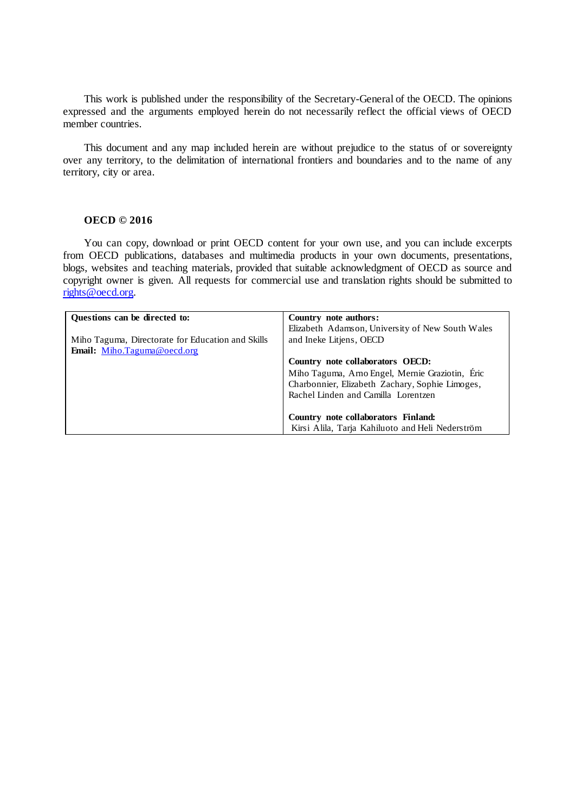This work is published under the responsibility of the Secretary-General of the OECD. The opinions expressed and the arguments employed herein do not necessarily reflect the official views of OECD member countries.

This document and any map included herein are without prejudice to the status of or sovereignty over any territory, to the delimitation of international frontiers and boundaries and to the name of any territory, city or area.

# **OECD © 2016**

You can copy, download or print OECD content for your own use, and you can include excerpts from OECD publications, databases and multimedia products in your own documents, presentations, blogs, websites and teaching materials, provided that suitable acknowledgment of OECD as source and copyright owner is given. All requests for commercial use and translation rights should be submitted to [rights@oecd.org.](mailto:rights@oecd.org)

| Questions can be directed to:                     | Country note authors:                            |
|---------------------------------------------------|--------------------------------------------------|
|                                                   | Elizabeth Adamson, University of New South Wales |
| Miho Taguma, Directorate for Education and Skills | and Ineke Litjens, OECD                          |
| Email: Miho.Taguma@oecd.org                       |                                                  |
|                                                   | Country note collaborators OECD:                 |
|                                                   | Miho Taguma, Arno Engel, Mernie Graziotin, Éric  |
|                                                   | Charbonnier, Elizabeth Zachary, Sophie Limoges,  |
|                                                   | Rachel Linden and Camilla Lorentzen              |
|                                                   |                                                  |
|                                                   | Country note collaborators Finland:              |
|                                                   | Kirsi Alila, Tarja Kahiluoto and Heli Nederström |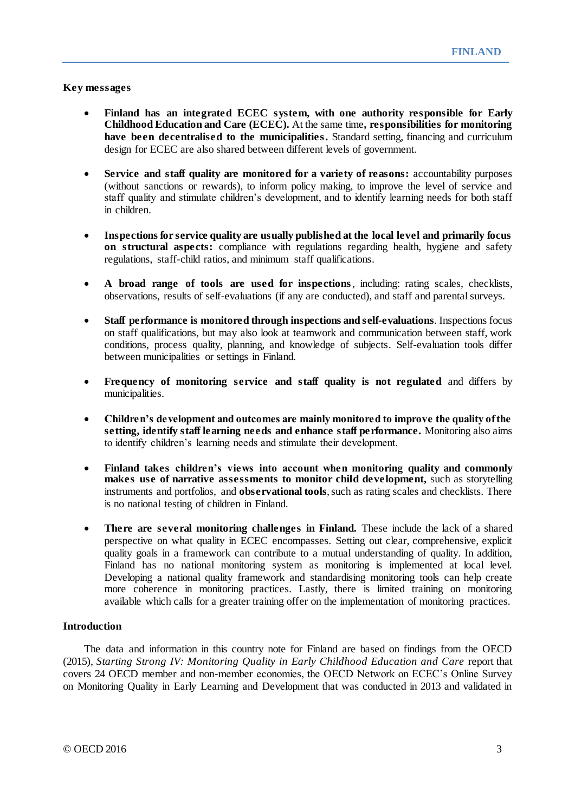# **Key messages**

- **Finland has an integrated ECEC system, with one authority responsible for Early Childhood Education and Care (ECEC).** At the same time**, responsibilities for monitoring have been decentralised to the municipalities.** Standard setting, financing and curriculum design for ECEC are also shared between different levels of government.
- **Service and staff quality are monitored for a variety of reasons:** accountability purposes (without sanctions or rewards), to inform policy making, to improve the level of service and staff quality and stimulate children's development, and to identify learning needs for both staff in children.
- **Inspections for service quality are usually published at the local level and primarily focus on structural aspects:** compliance with regulations regarding health, hygiene and safety regulations, staff-child ratios, and minimum staff qualifications.
- **A broad range of tools are used for inspections**, including: rating scales, checklists, observations, results of self-evaluations (if any are conducted), and staff and parental surveys.
- **Staff performance is monitored through inspections and self-evaluations**. Inspections focus on staff qualifications, but may also look at teamwork and communication between staff, work conditions, process quality, planning, and knowledge of subjects. Self-evaluation tools differ between municipalities or settings in Finland.
- **Frequency of monitoring service and staff quality is not regulated** and differs by municipalities.
- **Children's development and outcomes are mainly monitored to improve the quality of the setting, identify staff learning needs and enhance staff performance.** Monitoring also aims to identify children's learning needs and stimulate their development.
- **Finland takes children's views into account when monitoring quality and commonly makes use of narrative assessments to monitor child development,** such as storytelling instruments and portfolios, and **observational tools**, such as rating scales and checklists. There is no national testing of children in Finland.
- **There are several monitoring challenges in Finland.** These include the lack of a shared perspective on what quality in ECEC encompasses. Setting out clear, comprehensive, explicit quality goals in a framework can contribute to a mutual understanding of quality. In addition, Finland has no national monitoring system as monitoring is implemented at local level. Developing a national quality framework and standardising monitoring tools can help create more coherence in monitoring practices. Lastly, there is limited training on monitoring available which calls for a greater training offer on the implementation of monitoring practices.

# **Introduction**

The data and information in this country note for Finland are based on findings from the OECD (2015), *Starting Strong IV: Monitoring Quality in Early Childhood Education and Care* report that covers 24 OECD member and non-member economies, the OECD Network on ECEC's Online Survey on Monitoring Quality in Early Learning and Development that was conducted in 2013 and validated in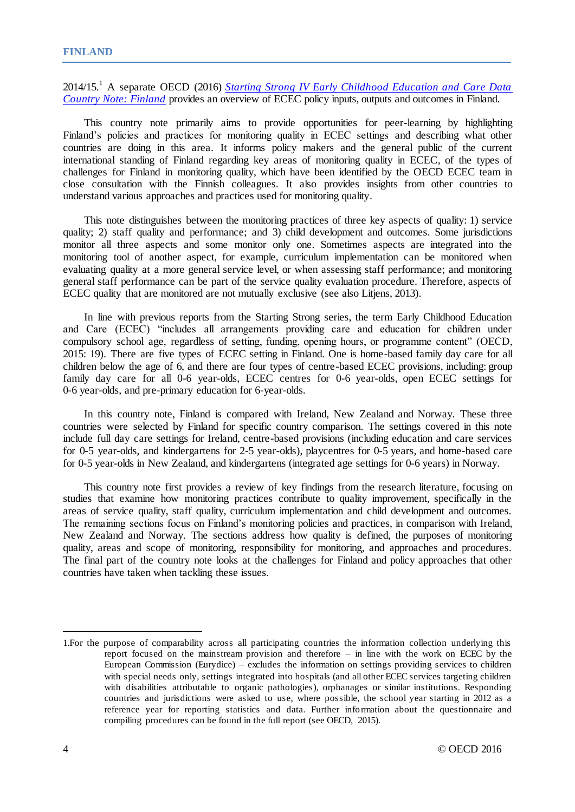2014/15.<sup>1</sup> A separate OECD (2016) *[Starting Strong IV Early Childhood Education and Care Data](http://www.oecd.org/edu/school/ECECDCN-Finland.pdf)  [Country Note: Finland](http://www.oecd.org/edu/school/ECECDCN-Finland.pdf)* provides an overview of ECEC policy inputs, outputs and outcomes in Finland.

This country note primarily aims to provide opportunities for peer-learning by highlighting Finland's policies and practices for monitoring quality in ECEC settings and describing what other countries are doing in this area. It informs policy makers and the general public of the current international standing of Finland regarding key areas of monitoring quality in ECEC, of the types of challenges for Finland in monitoring quality, which have been identified by the OECD ECEC team in close consultation with the Finnish colleagues. It also provides insights from other countries to understand various approaches and practices used for monitoring quality.

This note distinguishes between the monitoring practices of three key aspects of quality: 1) service quality; 2) staff quality and performance; and 3) child development and outcomes. Some jurisdictions monitor all three aspects and some monitor only one. Sometimes aspects are integrated into the monitoring tool of another aspect, for example, curriculum implementation can be monitored when evaluating quality at a more general service level, or when assessing staff performance; and monitoring general staff performance can be part of the service quality evaluation procedure. Therefore, aspects of ECEC quality that are monitored are not mutually exclusive (see also Litjens, 2013).

In line with previous reports from the Starting Strong series, the term Early Childhood Education and Care (ECEC) "includes all arrangements providing care and education for children under compulsory school age, regardless of setting, funding, opening hours, or programme content" (OECD, 2015: 19). There are five types of ECEC setting in Finland. One is home-based family day care for all children below the age of 6, and there are four types of centre-based ECEC provisions, including: group family day care for all 0-6 year-olds, ECEC centres for 0-6 year-olds, open ECEC settings for 0-6 year-olds, and pre-primary education for 6-year-olds.

In this country note, Finland is compared with Ireland, New Zealand and Norway. These three countries were selected by Finland for specific country comparison. The settings covered in this note include full day care settings for Ireland, centre-based provisions (including education and care services for 0-5 year-olds, and kindergartens for 2-5 year-olds), playcentres for 0-5 years, and home-based care for 0-5 year-olds in New Zealand, and kindergartens (integrated age settings for 0-6 years) in Norway.

This country note first provides a review of key findings from the research literature, focusing on studies that examine how monitoring practices contribute to quality improvement, specifically in the areas of service quality, staff quality, curriculum implementation and child development and outcomes. The remaining sections focus on Finland's monitoring policies and practices, in comparison with Ireland, New Zealand and Norway. The sections address how quality is defined, the purposes of monitoring quality, areas and scope of monitoring, responsibility for monitoring, and approaches and procedures. The final part of the country note looks at the challenges for Finland and policy approaches that other countries have taken when tackling these issues.

 $\overline{\phantom{a}}$ 

<sup>1.</sup>For the purpose of comparability across all participating countries the information collection underlying this report focused on the mainstream provision and therefore – in line with the work on ECEC by the European Commission (Eurydice) – excludes the information on settings providing services to children with special needs only, settings integrated into hospitals (and all other ECEC services targeting children with disabilities attributable to organic pathologies), orphanages or similar institutions. Responding countries and jurisdictions were asked to use, where possible, the school year starting in 2012 as a reference year for reporting statistics and data. Further information about the questionnaire and compiling procedures can be found in the full report (see OECD, 2015).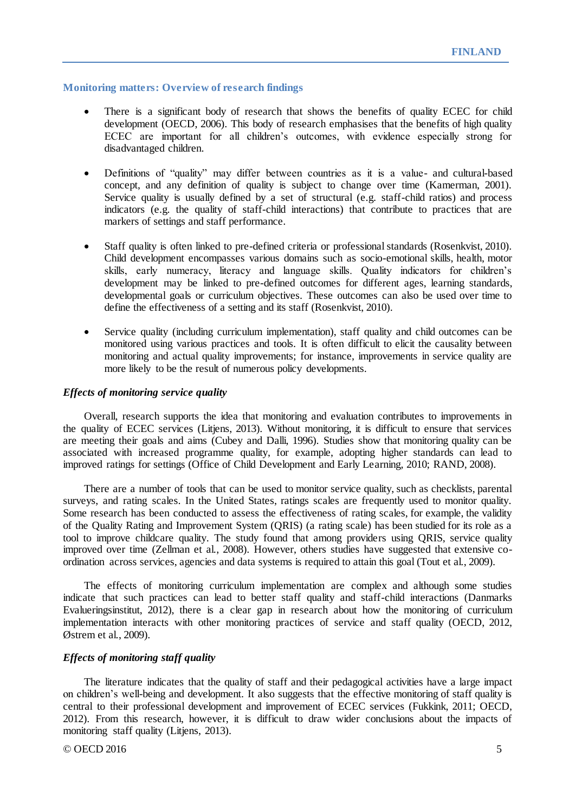#### **Monitoring matters: Overview of research findings**

- There is a significant body of research that shows the benefits of quality ECEC for child development (OECD, 2006). This body of research emphasises that the benefits of high quality ECEC are important for all children's outcomes, with evidence especially strong for disadvantaged children.
- Definitions of "quality" may differ between countries as it is a value- and cultural-based concept, and any definition of quality is subject to change over time (Kamerman, 2001). Service quality is usually defined by a set of structural (e.g. staff-child ratios) and process indicators (e.g. the quality of staff-child interactions) that contribute to practices that are markers of settings and staff performance.
- Staff quality is often linked to pre-defined criteria or professional standards (Rosenkvist, 2010). Child development encompasses various domains such as socio-emotional skills, health, motor skills, early numeracy, literacy and language skills. Quality indicators for children's development may be linked to pre-defined outcomes for different ages, learning standards, developmental goals or curriculum objectives. These outcomes can also be used over time to define the effectiveness of a setting and its staff (Rosenkvist, 2010).
- Service quality (including curriculum implementation), staff quality and child outcomes can be monitored using various practices and tools. It is often difficult to elicit the causality between monitoring and actual quality improvements; for instance, improvements in service quality are more likely to be the result of numerous policy developments.

# *Effects of monitoring service quality*

Overall, research supports the idea that monitoring and evaluation contributes to improvements in the quality of ECEC services (Litjens, 2013). Without monitoring, it is difficult to ensure that services are meeting their goals and aims (Cubey and Dalli, 1996). Studies show that monitoring quality can be associated with increased programme quality, for example, adopting higher standards can lead to improved ratings for settings (Office of Child Development and Early Learning, 2010; RAND, 2008).

There are a number of tools that can be used to monitor service quality, such as checklists, parental surveys, and rating scales. In the United States, ratings scales are frequently used to monitor quality. Some research has been conducted to assess the effectiveness of rating scales, for example, the validity of the Quality Rating and Improvement System (QRIS) (a rating scale) has been studied for its role as a tool to improve childcare quality. The study found that among providers using QRIS, service quality improved over time (Zellman et al., 2008). However, others studies have suggested that extensive coordination across services, agencies and data systems is required to attain this goal (Tout et al., 2009).

The effects of monitoring curriculum implementation are complex and although some studies indicate that such practices can lead to better staff quality and staff-child interactions (Danmarks Evalueringsinstitut, 2012), there is a clear gap in research about how the monitoring of curriculum implementation interacts with other monitoring practices of service and staff quality (OECD, 2012, Østrem et al., 2009).

# *Effects of monitoring staff quality*

The literature indicates that the quality of staff and their pedagogical activities have a large impact on children's well-being and development. It also suggests that the effective monitoring of staff quality is central to their professional development and improvement of ECEC services (Fukkink, 2011; OECD, 2012). From this research, however, it is difficult to draw wider conclusions about the impacts of monitoring staff quality (Litjens, 2013).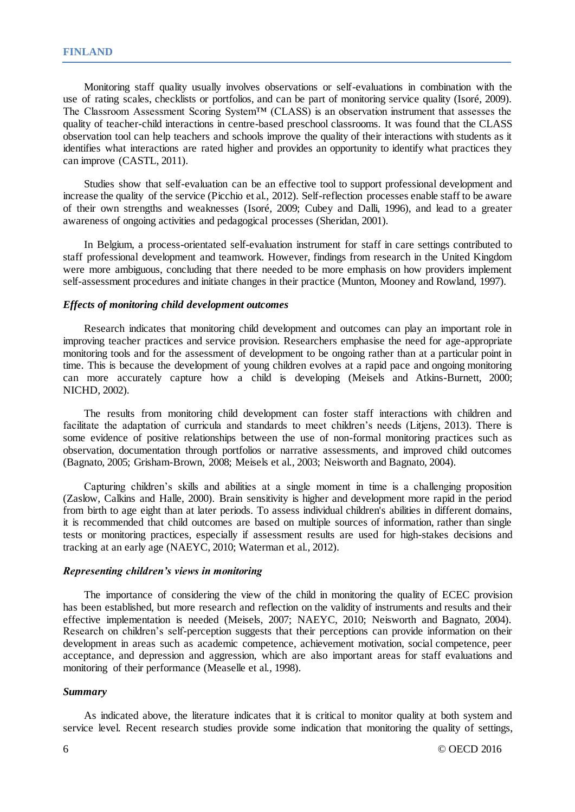Monitoring staff quality usually involves observations or self-evaluations in combination with the use of rating scales, checklists or portfolios, and can be part of monitoring service quality (Isoré, 2009). The Classroom Assessment Scoring System™ (CLASS) is an observation instrument that assesses the quality of teacher-child interactions in centre-based preschool classrooms. It was found that the CLASS observation tool can help teachers and schools improve the quality of their interactions with students as it identifies what interactions are rated higher and provides an opportunity to identify what practices they can improve (CASTL, 2011).

Studies show that self-evaluation can be an effective tool to support professional development and increase the quality of the service (Picchio et al., 2012). Self-reflection processes enable staff to be aware of their own strengths and weaknesses (Isoré, 2009; Cubey and Dalli, 1996), and lead to a greater awareness of ongoing activities and pedagogical processes (Sheridan, 2001).

In Belgium, a process-orientated self-evaluation instrument for staff in care settings contributed to staff professional development and teamwork. However, findings from research in the United Kingdom were more ambiguous, concluding that there needed to be more emphasis on how providers implement self-assessment procedures and initiate changes in their practice (Munton, Mooney and Rowland, 1997).

# *Effects of monitoring child development outcomes*

Research indicates that monitoring child development and outcomes can play an important role in improving teacher practices and service provision. Researchers emphasise the need for age-appropriate monitoring tools and for the assessment of development to be ongoing rather than at a particular point in time. This is because the development of young children evolves at a rapid pace and ongoing monitoring can more accurately capture how a child is developing (Meisels and Atkins-Burnett, 2000; NICHD, 2002).

The results from monitoring child development can foster staff interactions with children and facilitate the adaptation of curricula and standards to meet children's needs (Litjens, 2013). There is some evidence of positive relationships between the use of non-formal monitoring practices such as observation, documentation through portfolios or narrative assessments, and improved child outcomes (Bagnato, 2005; Grisham-Brown, 2008; Meisels et al., 2003; Neisworth and Bagnato, 2004).

Capturing children's skills and abilities at a single moment in time is a challenging proposition (Zaslow, Calkins and Halle, 2000). Brain sensitivity is higher and development more rapid in the period from birth to age eight than at later periods. To assess individual children's abilities in different domains, it is recommended that child outcomes are based on multiple sources of information, rather than single tests or monitoring practices, especially if assessment results are used for high-stakes decisions and tracking at an early age (NAEYC, 2010; Waterman et al., 2012).

# *Representing children's views in monitoring*

The importance of considering the view of the child in monitoring the quality of ECEC provision has been established, but more research and reflection on the validity of instruments and results and their effective implementation is needed (Meisels, 2007; NAEYC, 2010; Neisworth and Bagnato, 2004). Research on children's self-perception suggests that their perceptions can provide information on their development in areas such as academic competence, achievement motivation, social competence, peer acceptance, and depression and aggression, which are also important areas for staff evaluations and monitoring of their performance (Measelle et al., 1998).

# *Summary*

As indicated above, the literature indicates that it is critical to monitor quality at both system and service level. Recent research studies provide some indication that monitoring the quality of settings,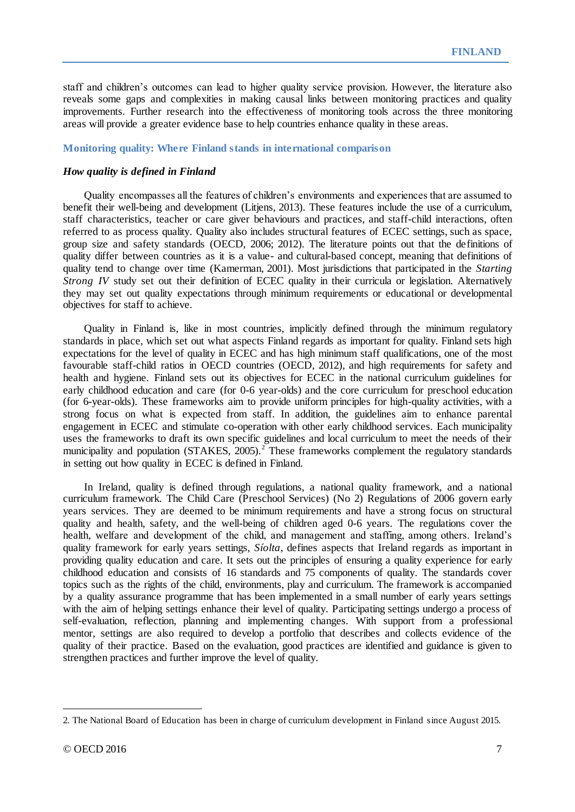staff and children's outcomes can lead to higher quality service provision. However, the literature also reveals some gaps and complexities in making causal links between monitoring practices and quality improvements. Further research into the effectiveness of monitoring tools across the three monitoring areas will provide a greater evidence base to help countries enhance quality in these areas.

#### **Monitoring quality: Where Finland stands in international comparison**

#### *How quality is defined in Finland*

Quality encompasses all the features of children's environments and experiences that are assumed to benefit their well-being and development (Litjens, 2013). These features include the use of a curriculum, staff characteristics, teacher or care giver behaviours and practices, and staff-child interactions, often referred to as process quality. Quality also includes structural features of ECEC settings, such as space, group size and safety standards (OECD, 2006; 2012). The literature points out that the definitions of quality differ between countries as it is a value- and cultural-based concept, meaning that definitions of quality tend to change over time (Kamerman, 2001). Most jurisdictions that participated in the *Starting Strong IV* study set out their definition of ECEC quality in their curricula or legislation. Alternatively they may set out quality expectations through minimum requirements or educational or developmental objectives for staff to achieve.

Quality in Finland is, like in most countries, implicitly defined through the minimum regulatory standards in place, which set out what aspects Finland regards as important for quality. Finland sets high expectations for the level of quality in ECEC and has high minimum staff qualifications, one of the most favourable staff-child ratios in OECD countries (OECD, 2012), and high requirements for safety and health and hygiene. Finland sets out its objectives for ECEC in the national curriculum guidelines for early childhood education and care (for 0-6 year-olds) and the core curriculum for preschool education (for 6-year-olds). These frameworks aim to provide uniform principles for high-quality activities, with a strong focus on what is expected from staff. In addition, the guidelines aim to enhance parental engagement in ECEC and stimulate co-operation with other early childhood services. Each municipality uses the frameworks to draft its own specific guidelines and local curriculum to meet the needs of their municipality and population (STAKES, 2005).<sup>2</sup> These frameworks complement the regulatory standards in setting out how quality in ECEC is defined in Finland.

In Ireland, quality is defined through regulations, a national quality framework, and a national curriculum framework. The Child Care (Preschool Services) (No 2) Regulations of 2006 govern early years services. They are deemed to be minimum requirements and have a strong focus on structural quality and health, safety, and the well-being of children aged 0-6 years. The regulations cover the health, welfare and development of the child, and management and staffing, among others. Ireland's quality framework for early years settings, *Síolta*, defines aspects that Ireland regards as important in providing quality education and care. It sets out the principles of ensuring a quality experience for early childhood education and consists of 16 standards and 75 components of quality. The standards cover topics such as the rights of the child, environments, play and curriculum. The framework is accompanied by a quality assurance programme that has been implemented in a small number of early years settings with the aim of helping settings enhance their level of quality. Participating settings undergo a process of self-evaluation, reflection, planning and implementing changes. With support from a professional mentor, settings are also required to develop a portfolio that describes and collects evidence of the quality of their practice. Based on the evaluation, good practices are identified and guidance is given to strengthen practices and further improve the level of quality.

l

<sup>2.</sup> The National Board of Education has been in charge of curriculum development in Finland since August 2015.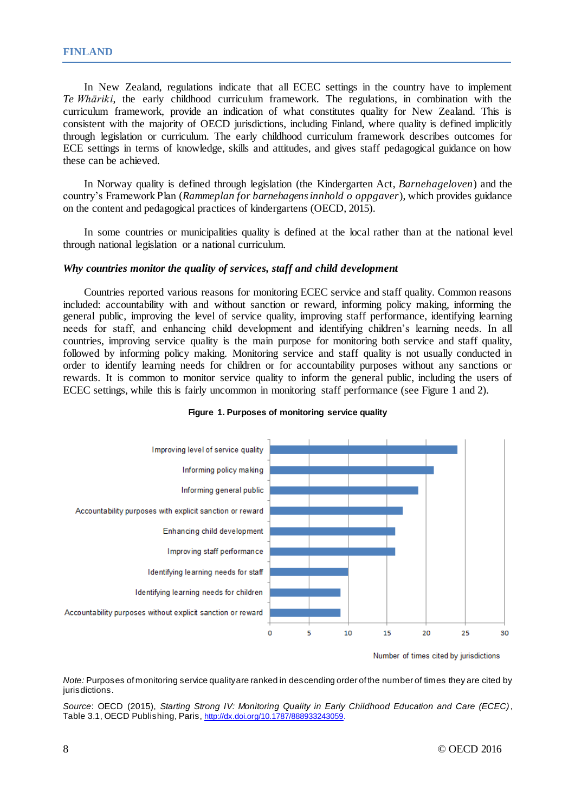In New Zealand, regulations indicate that all ECEC settings in the country have to implement *Te Whāriki*, the early childhood curriculum framework. The regulations, in combination with the curriculum framework, provide an indication of what constitutes quality for New Zealand. This is consistent with the majority of OECD jurisdictions, including Finland, where quality is defined implicitly through legislation or curriculum. The early childhood curriculum framework describes outcomes for ECE settings in terms of knowledge, skills and attitudes, and gives staff pedagogical guidance on how these can be achieved.

In Norway quality is defined through legislation (the Kindergarten Act, *Barnehageloven*) and the country's Framework Plan (*Rammeplan for barnehagens innhold o oppgaver*), which provides guidance on the content and pedagogical practices of kindergartens (OECD, 2015).

In some countries or municipalities quality is defined at the local rather than at the national level through national legislation or a national curriculum.

# *Why countries monitor the quality of services, staff and child development*

Countries reported various reasons for monitoring ECEC service and staff quality. Common reasons included: accountability with and without sanction or reward, informing policy making, informing the general public, improving the level of service quality, improving staff performance, identifying learning needs for staff, and enhancing child development and identifying children's learning needs. In all countries, improving service quality is the main purpose for monitoring both service and staff quality, followed by informing policy making. Monitoring service and staff quality is not usually conducted in order to identify learning needs for children or for accountability purposes without any sanctions or rewards. It is common to monitor service quality to inform the general public, including the users of ECEC settings, while this is fairly uncommon in monitoring staff performance (see Figure 1 and 2).



#### **Figure 1. Purposes of monitoring service quality**

Number of times cited by jurisdictions

*Note:* Purposes of monitoring service quality are ranked in descending order of the number of times they are cited by jurisdictions.

*Source*: OECD (2015), *Starting Strong IV: Monitoring Quality in Early Childhood Education and Care (ECEC)*, Table 3.1, OECD Publishing, Paris, <http://dx.doi.org/10.1787/888933243059>.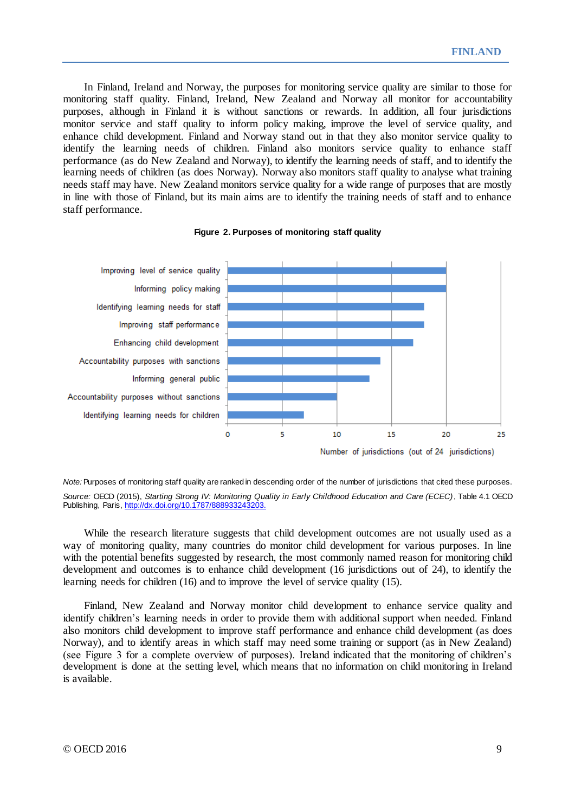In Finland, Ireland and Norway, the purposes for monitoring service quality are similar to those for monitoring staff quality. Finland, Ireland, New Zealand and Norway all monitor for accountability purposes, although in Finland it is without sanctions or rewards. In addition, all four jurisdictions monitor service and staff quality to inform policy making, improve the level of service quality, and enhance child development. Finland and Norway stand out in that they also monitor service quality to identify the learning needs of children. Finland also monitors service quality to enhance staff performance (as do New Zealand and Norway), to identify the learning needs of staff, and to identify the learning needs of children (as does Norway). Norway also monitors staff quality to analyse what training needs staff may have. New Zealand monitors service quality for a wide range of purposes that are mostly in line with those of Finland, but its main aims are to identify the training needs of staff and to enhance staff performance.



#### **Figure 2. Purposes of monitoring staff quality**

*Note:* Purposes of monitoring staff quality are ranked in descending order of the number of jurisdictions that cited these purposes. *Source:* OECD (2015), *Starting Strong IV: Monitoring Quality in Early Childhood Education and Care (ECEC)*, Table 4.1 OECD Publishing, Paris,<http://dx.doi.org/10.1787/888933243203>.

While the research literature suggests that child development outcomes are not usually used as a way of monitoring quality, many countries do monitor child development for various purposes. In line with the potential benefits suggested by research, the most commonly named reason for monitoring child development and outcomes is to enhance child development (16 jurisdictions out of 24), to identify the learning needs for children (16) and to improve the level of service quality (15).

Finland, New Zealand and Norway monitor child development to enhance service quality and identify children's learning needs in order to provide them with additional support when needed. Finland also monitors child development to improve staff performance and enhance child development (as does Norway), and to identify areas in which staff may need some training or support (as in New Zealand) (see Figure 3 for a complete overview of purposes). Ireland indicated that the monitoring of children's development is done at the setting level, which means that no information on child monitoring in Ireland is available.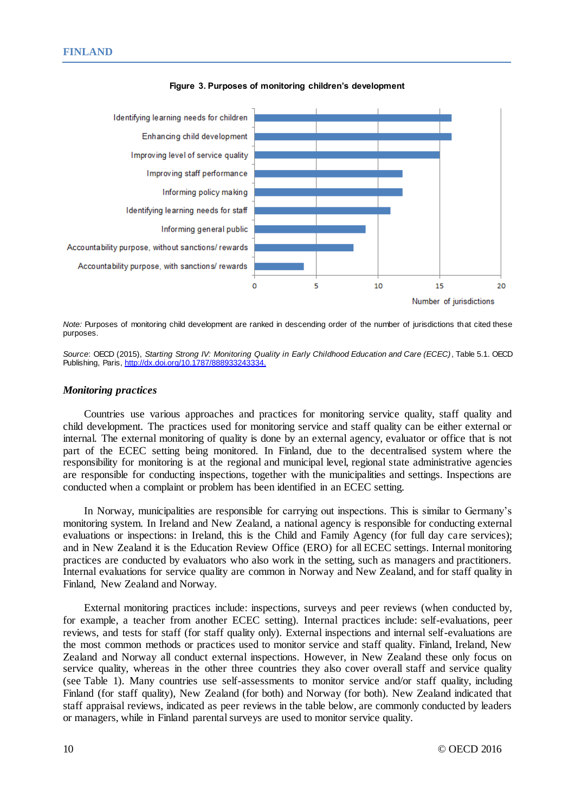



*Note:* Purposes of monitoring child development are ranked in descending order of the number of jurisdictions that cited these purposes.

*Source*: OECD (2015), *Starting Strong IV: Monitoring Quality in Early Childhood Education and Care (ECEC)*, Table 5.1. OECD Publishing, Paris,<http://dx.doi.org/10.1787/888933243334>.

# *Monitoring practices*

Countries use various approaches and practices for monitoring service quality, staff quality and child development. The practices used for monitoring service and staff quality can be either external or internal. The external monitoring of quality is done by an external agency, evaluator or office that is not part of the ECEC setting being monitored. In Finland, due to the decentralised system where the responsibility for monitoring is at the regional and municipal level, regional state administrative agencies are responsible for conducting inspections, together with the municipalities and settings. Inspections are conducted when a complaint or problem has been identified in an ECEC setting.

In Norway, municipalities are responsible for carrying out inspections. This is similar to Germany's monitoring system. In Ireland and New Zealand, a national agency is responsible for conducting external evaluations or inspections: in Ireland, this is the Child and Family Agency (for full day care services); and in New Zealand it is the Education Review Office (ERO) for all ECEC settings. Internal monitoring practices are conducted by evaluators who also work in the setting, such as managers and practitioners. Internal evaluations for service quality are common in Norway and New Zealand, and for staff quality in Finland, New Zealand and Norway.

External monitoring practices include: inspections, surveys and peer reviews (when conducted by, for example, a teacher from another ECEC setting). Internal practices include: self-evaluations, peer reviews, and tests for staff (for staff quality only). External inspections and internal self-evaluations are the most common methods or practices used to monitor service and staff quality. Finland, Ireland, New Zealand and Norway all conduct external inspections. However, in New Zealand these only focus on service quality, whereas in the other three countries they also cover overall staff and service quality (see Table 1). Many countries use self-assessments to monitor service and/or staff quality, including Finland (for staff quality), New Zealand (for both) and Norway (for both). New Zealand indicated that staff appraisal reviews, indicated as peer reviews in the table below, are commonly conducted by leaders or managers, while in Finland parental surveys are used to monitor service quality.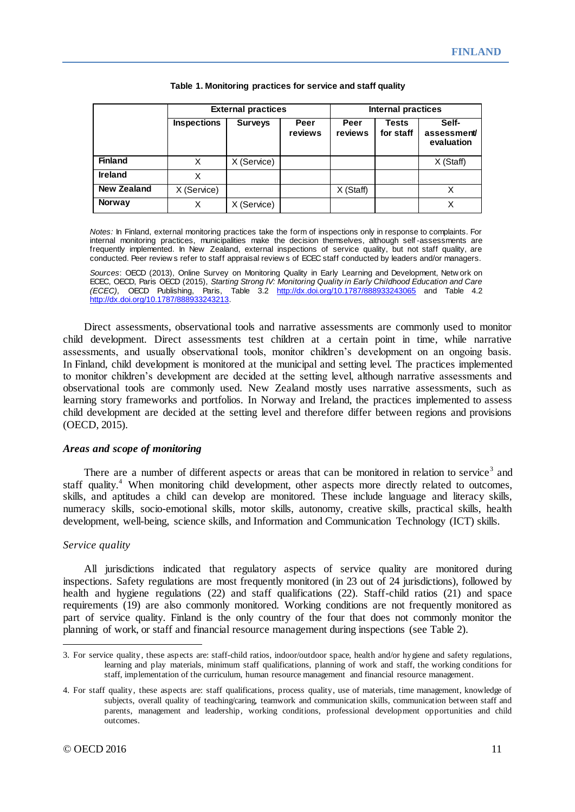|                    | <b>External practices</b> |                | Internal practices |                 |                    |                                    |
|--------------------|---------------------------|----------------|--------------------|-----------------|--------------------|------------------------------------|
|                    | <b>Inspections</b>        | <b>Surveys</b> | Peer<br>reviews    | Peer<br>reviews | Tests<br>for staff | Self-<br>assessment/<br>evaluation |
| <b>Finland</b>     | X                         | X (Service)    |                    |                 |                    | X (Staff)                          |
| <b>Ireland</b>     | X                         |                |                    |                 |                    |                                    |
| <b>New Zealand</b> | X (Service)               |                |                    | X (Staff)       |                    | Χ                                  |
| Norway             | X                         | X (Service)    |                    |                 |                    | Χ                                  |

#### **Table 1. Monitoring practices for service and staff quality**

*Notes:* In Finland, external monitoring practices take the form of inspections only in response to complaints. For internal monitoring practices, municipalities make the decision themselves, although self -assessments are frequently implemented. In New Zealand, external inspections of service quality, but not staff quality, are conducted. Peer review s refer to staff appraisal review s of ECEC staff conducted by leaders and/or managers.

*Sources*: OECD (2013), Online Survey on Monitoring Quality in Early Learning and Development, Netw ork on ECEC, OECD, Paris OECD (2015), *Starting Strong IV: Monitoring Quality in Early Childhood Education and Care (ECEC),* OECD Publishing, Paris, Table 3.2 <http://dx.doi.org/10.1787/888933243065> and Table 4.2 <http://dx.doi.org/10.1787/888933243213>.

Direct assessments, observational tools and narrative assessments are commonly used to monitor child development. Direct assessments test children at a certain point in time, while narrative assessments, and usually observational tools, monitor children's development on an ongoing basis. In Finland, child development is monitored at the municipal and setting level. The practices implemented to monitor children's development are decided at the setting level, although narrative assessments and observational tools are commonly used. New Zealand mostly uses narrative assessments, such as learning story frameworks and portfolios. In Norway and Ireland, the practices implemented to assess child development are decided at the setting level and therefore differ between regions and provisions (OECD, 2015).

# *Areas and scope of monitoring*

There are a number of different aspects or areas that can be monitored in relation to service<sup>3</sup> and staff quality.<sup>4</sup> When monitoring child development, other aspects more directly related to outcomes, skills, and aptitudes a child can develop are monitored. These include language and literacy skills, numeracy skills, socio-emotional skills, motor skills, autonomy, creative skills, practical skills, health development, well-being, science skills, and Information and Communication Technology (ICT) skills.

# *Service quality*

All jurisdictions indicated that regulatory aspects of service quality are monitored during inspections. Safety regulations are most frequently monitored (in 23 out of 24 jurisdictions), followed by health and hygiene regulations (22) and staff qualifications (22). Staff-child ratios (21) and space requirements (19) are also commonly monitored. Working conditions are not frequently monitored as part of service quality. Finland is the only country of the four that does not commonly monitor the planning of work, or staff and financial resource management during inspections (see Table 2).

 $\overline{\phantom{a}}$ 

<sup>3.</sup> For service quality, these aspects are: staff-child ratios, indoor/outdoor space, health and/or hygiene and safety regulations, learning and play materials, minimum staff qualifications, planning of work and staff, the working conditions for staff, implementation of the curriculum, human resource management and financial resource management.

<sup>4.</sup> For staff quality, these aspects are: staff qualifications, process quality, use of materials, time management, knowledge of subjects, overall quality of teaching/caring, teamwork and communication skills, communication between staff and parents, management and leadership, working conditions, professional development opportunities and child outcomes.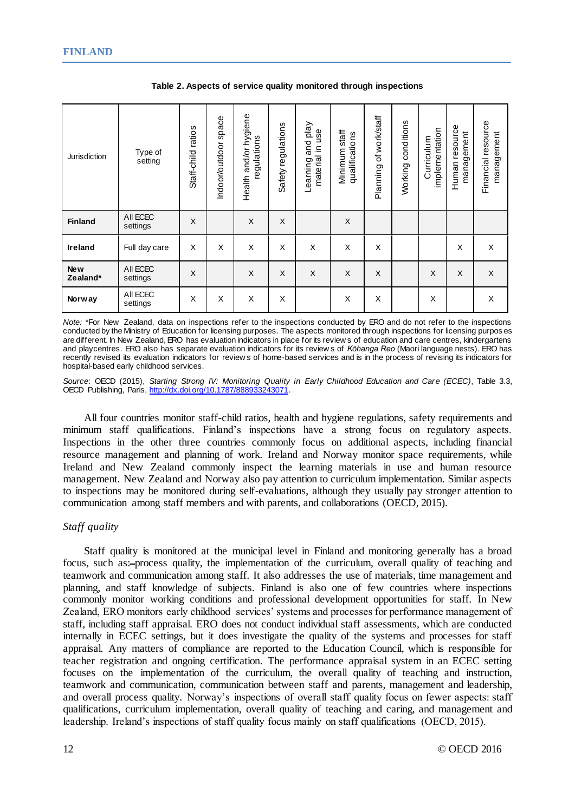| Jurisdiction    | Type of<br>setting   | ratios<br>Staff-child | space<br>Indoor/outdoor | and/or hygiene<br>regulations<br>Health | regulations<br>Safety | play<br>use<br>and<br>material in<br>Learning | staff<br>qualifications<br>Minimum | of work/staff<br>Planning | conditions<br>Working | implementation<br>Curriculum | resource<br>management<br>Human | resource<br>management<br>Financial |
|-----------------|----------------------|-----------------------|-------------------------|-----------------------------------------|-----------------------|-----------------------------------------------|------------------------------------|---------------------------|-----------------------|------------------------------|---------------------------------|-------------------------------------|
| <b>Finland</b>  | AII ECEC<br>settings | X                     |                         | X                                       | X                     |                                               | X                                  |                           |                       |                              |                                 |                                     |
| Ireland         | Full day care        | X                     | X                       | X                                       | X                     | X                                             | X                                  | X                         |                       |                              | X                               | X                                   |
| New<br>Zealand* | AII ECEC<br>settings | X                     |                         | $\times$                                | X                     | X                                             | X                                  | X                         |                       | X                            | X                               | X                                   |
| Norway          | AII ECEC<br>settings | X                     | X                       | X                                       | X                     |                                               | X                                  | X                         |                       | X                            |                                 | X                                   |

**Table 2. Aspects of service quality monitored through inspections**

*Note:* \*For New Zealand, data on inspections refer to the inspections conducted by ERO and do not refer to the inspections conducted by the Ministry of Education for licensing purposes. The aspects monitored through inspections for licensing purpos es are different. In New Zealand, ERO has evaluation indicators in place for its review s of education and care centres, kindergartens and playcentres. ERO also has separate evaluation indicators for its review s of *Kōhanga Reo* (Maori language nests). ERO has recently revised its evaluation indicators for review s of home-based services and is in the process of revising its indicators for hospital-based early childhood services.

*Source*: OECD (2015), *Starting Strong IV: Monitoring Quality in Early Childhood Education and Care (ECEC)*, Table 3.3, OECD Publishing, Paris, http://dx.doi.org/10.1787/888933

All four countries monitor staff-child ratios, health and hygiene regulations, safety requirements and minimum staff qualifications. Finland's inspections have a strong focus on regulatory aspects. Inspections in the other three countries commonly focus on additional aspects, including financial resource management and planning of work. Ireland and Norway monitor space requirements, while Ireland and New Zealand commonly inspect the learning materials in use and human resource management. New Zealand and Norway also pay attention to curriculum implementation. Similar aspects to inspections may be monitored during self-evaluations, although they usually pay stronger attention to communication among staff members and with parents, and collaborations (OECD, 2015).

# *Staff quality*

Staff quality is monitored at the municipal level in Finland and monitoring generally has a broad focus, such as:-process quality, the implementation of the curriculum, overall quality of teaching and teamwork and communication among staff. It also addresses the use of materials, time management and planning, and staff knowledge of subjects. Finland is also one of few countries where inspections commonly monitor working conditions and professional development opportunities for staff. In New Zealand, ERO monitors early childhood services' systems and processes for performance management of staff, including staff appraisal. ERO does not conduct individual staff assessments, which are conducted internally in ECEC settings, but it does investigate the quality of the systems and processes for staff appraisal. Any matters of compliance are reported to the Education Council, which is responsible for teacher registration and ongoing certification. The performance appraisal system in an ECEC setting focuses on the implementation of the curriculum, the overall quality of teaching and instruction, teamwork and communication, communication between staff and parents, management and leadership, and overall process quality. Norway's inspections of overall staff quality focus on fewer aspects: staff qualifications, curriculum implementation, overall quality of teaching and caring, and management and leadership. Ireland's inspections of staff quality focus mainly on staff qualifications (OECD, 2015).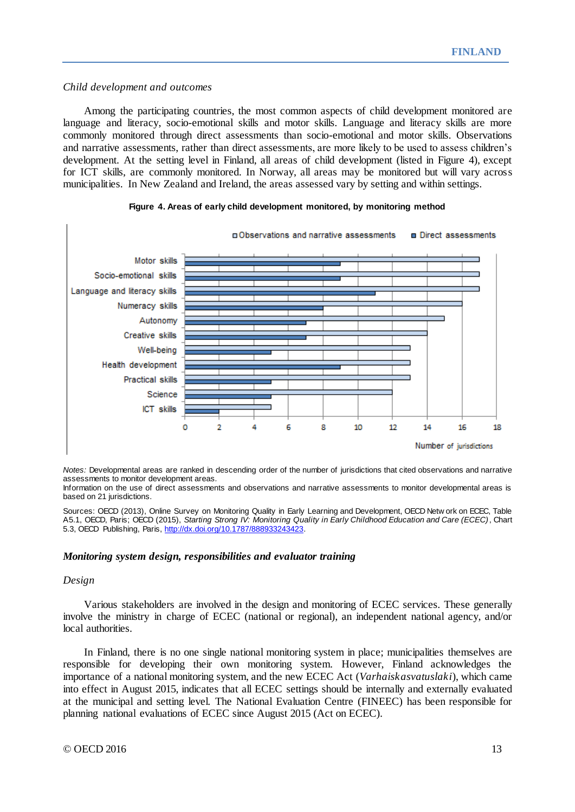# *Child development and outcomes*

Among the participating countries, the most common aspects of child development monitored are language and literacy, socio-emotional skills and motor skills. Language and literacy skills are more commonly monitored through direct assessments than socio-emotional and motor skills. Observations and narrative assessments, rather than direct assessments, are more likely to be used to assess children's development. At the setting level in Finland, all areas of child development (listed in Figure 4), except for ICT skills, are commonly monitored. In Norway, all areas may be monitored but will vary across municipalities. In New Zealand and Ireland, the areas assessed vary by setting and within settings.



#### **Figure 4. Areas of early child development monitored, by monitoring method**

*Notes:* Developmental areas are ranked in descending order of the number of jurisdictions that cited observations and narrative assessments to monitor development areas*.*

Information on the use of direct assessments and observations and narrative assessments to monitor developmental areas is based on 21 jurisdictions.

Sources: OECD (2013), Online Survey on Monitoring Quality in Early Learning and Development, OECD Netw ork on ECEC, Table A5.1, OECD, Paris; OECD (2015), *Starting Strong IV: Monitoring Quality in Early Childhood Education and Care (ECEC)*, Chart 5.3, OECD Publishing, Paris[, http://dx.doi.org/10.1787/888933243423](http://dx.doi.org/10.1787/888933243423)

# *Monitoring system design, responsibilities and evaluator training*

#### *Design*

Various stakeholders are involved in the design and monitoring of ECEC services. These generally involve the ministry in charge of ECEC (national or regional), an independent national agency, and/or local authorities.

In Finland, there is no one single national monitoring system in place; municipalities themselves are responsible for developing their own monitoring system. However, Finland acknowledges the importance of a national monitoring system, and the new ECEC Act (*Varhaiskasvatuslaki*), which came into effect in August 2015, indicates that all ECEC settings should be internally and externally evaluated at the municipal and setting level. The National Evaluation Centre (FINEEC) has been responsible for planning national evaluations of ECEC since August 2015 (Act on ECEC).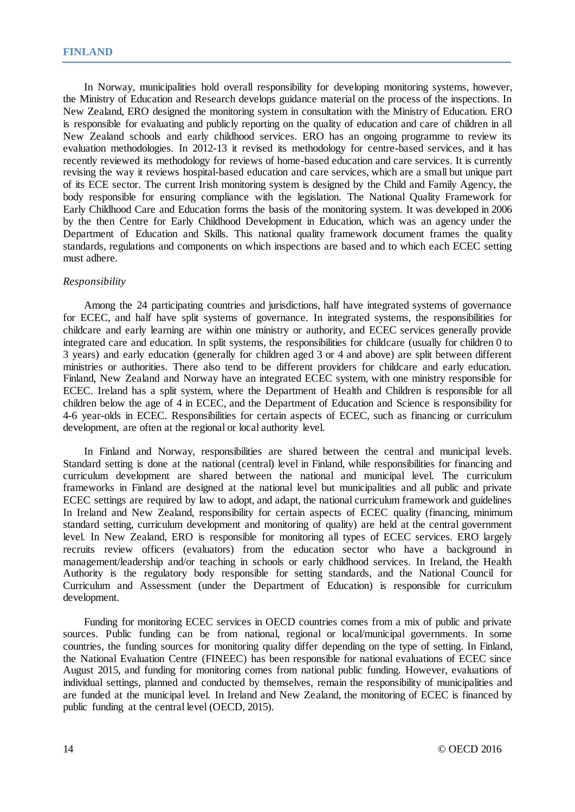In Norway, municipalities hold overall responsibility for developing monitoring systems, however, the Ministry of Education and Research develops guidance material on the process of the inspections. In New Zealand, ERO designed the monitoring system in consultation with the Ministry of Education. ERO is responsible for evaluating and publicly reporting on the quality of education and care of children in all New Zealand schools and early childhood services. ERO has an ongoing programme to review its evaluation methodologies. In 2012-13 it revised its methodology for centre-based services, and it has recently reviewed its methodology for reviews of home-based education and care services. It is currently revising the way it reviews hospital-based education and care services, which are a small but unique part of its ECE sector. The current Irish monitoring system is designed by the Child and Family Agency, the body responsible for ensuring compliance with the legislation. The National Quality Framework for Early Childhood Care and Education forms the basis of the monitoring system. It was developed in 2006 by the then Centre for Early Childhood Development in Education, which was an agency under the Department of Education and Skills. This national quality framework document frames the quality standards, regulations and components on which inspections are based and to which each ECEC setting must adhere.

#### *Responsibility*

Among the 24 participating countries and jurisdictions, half have integrated systems of governance for ECEC, and half have split systems of governance. In integrated systems, the responsibilities for childcare and early learning are within one ministry or authority, and ECEC services generally provide integrated care and education. In split systems, the responsibilities for childcare (usually for children 0 to 3 years) and early education (generally for children aged 3 or 4 and above) are split between different ministries or authorities. There also tend to be different providers for childcare and early education. Finland, New Zealand and Norway have an integrated ECEC system, with one ministry responsible for ECEC. Ireland has a split system, where the Department of Health and Children is responsible for all children below the age of 4 in ECEC, and the Department of Education and Science is responsibility for 4-6 year-olds in ECEC. Responsibilities for certain aspects of ECEC, such as financing or curriculum development, are often at the regional or local authority level.

In Finland and Norway, responsibilities are shared between the central and municipal levels. Standard setting is done at the national (central) level in Finland, while responsibilities for financing and curriculum development are shared between the national and municipal level. The curriculum frameworks in Finland are designed at the national level but municipalities and all public and private ECEC settings are required by law to adopt, and adapt, the national curriculum framework and guidelines In Ireland and New Zealand, responsibility for certain aspects of ECEC quality (financing, minimum standard setting, curriculum development and monitoring of quality) are held at the central government level. In New Zealand, ERO is responsible for monitoring all types of ECEC services. ERO largely recruits review officers (evaluators) from the education sector who have a background in management/leadership and/or teaching in schools or early childhood services. In Ireland, the Health Authority is the regulatory body responsible for setting standards, and the National Council for Curriculum and Assessment (under the Department of Education) is responsible for curriculum development.

Funding for monitoring ECEC services in OECD countries comes from a mix of public and private sources. Public funding can be from national, regional or local/municipal governments. In some countries, the funding sources for monitoring quality differ depending on the type of setting. In Finland, the National Evaluation Centre (FINEEC) has been responsible for national evaluations of ECEC since August 2015, and funding for monitoring comes from national public funding. However, evaluations of individual settings, planned and conducted by themselves, remain the responsibility of municipalities and are funded at the municipal level. In Ireland and New Zealand, the monitoring of ECEC is financed by public funding at the central level (OECD, 2015).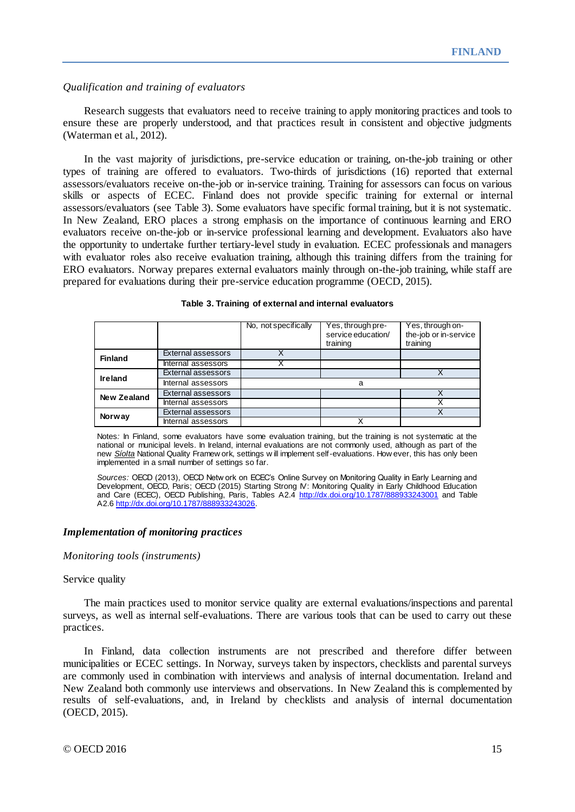# *Qualification and training of evaluators*

Research suggests that evaluators need to receive training to apply monitoring practices and tools to ensure these are properly understood, and that practices result in consistent and objective judgments (Waterman et al., 2012).

In the vast majority of jurisdictions, pre-service education or training, on-the-job training or other types of training are offered to evaluators. Two-thirds of jurisdictions (16) reported that external assessors/evaluators receive on-the-job or in-service training. Training for assessors can focus on various skills or aspects of ECEC. Finland does not provide specific training for external or internal assessors/evaluators (see Table 3). Some evaluators have specific formal training, but it is not systematic. In New Zealand, ERO places a strong emphasis on the importance of continuous learning and ERO evaluators receive on-the-job or in-service professional learning and development. Evaluators also have the opportunity to undertake further tertiary-level study in evaluation. ECEC professionals and managers with evaluator roles also receive evaluation training, although this training differs from the training for ERO evaluators. Norway prepares external evaluators mainly through on-the-job training, while staff are prepared for evaluations during their pre-service education programme (OECD, 2015).

|                |                    | No, not specifically | Yes, through pre-<br>service education/<br>training | Yes, through on-<br>the-job or in-service<br>training |
|----------------|--------------------|----------------------|-----------------------------------------------------|-------------------------------------------------------|
| <b>Finland</b> | External assessors |                      |                                                     |                                                       |
|                | Internal assessors |                      |                                                     |                                                       |
| <b>Ireland</b> | External assessors |                      |                                                     | Χ                                                     |
|                | Internal assessors |                      |                                                     |                                                       |
| New Zealand    | External assessors |                      |                                                     |                                                       |
|                | Internal assessors |                      |                                                     |                                                       |
| <b>Norway</b>  | External assessors |                      |                                                     |                                                       |
|                | Internal assessors |                      |                                                     |                                                       |

|  | Table 3. Training of external and internal evaluators |  |
|--|-------------------------------------------------------|--|
|--|-------------------------------------------------------|--|

Notes*:* In Finland, some evaluators have some evaluation training, but the training is not systematic at the national or municipal levels. In Ireland, internal evaluations are not commonly used, although as part of the new *[Síolta](http://www.siolta.ie/)* National Quality Framew ork, settings w ill implement self-evaluations. How ever, this has only been implemented in a small number of settings so far.

*Sources:* OECD (2013), OECD Netw ork on ECEC's Online Survey on Monitoring Quality in Early Learning and Development, OECD, Paris; OECD (2015) Starting Strong IV: Monitoring Quality in Early Childhood Education and Care (ECEC), OECD Publishing, Paris, Tables A2.4 <http://dx.doi.org/10.1787/888933243001> and Table A2.[6 http://dx.doi.org/10.1787/888933243026](http://dx.doi.org/10.1787/888933243026).

# *Implementation of monitoring practices*

# *Monitoring tools (instruments)*

#### Service quality

The main practices used to monitor service quality are external evaluations/inspections and parental surveys, as well as internal self-evaluations. There are various tools that can be used to carry out these practices.

In Finland, data collection instruments are not prescribed and therefore differ between municipalities or ECEC settings. In Norway, surveys taken by inspectors, checklists and parental surveys are commonly used in combination with interviews and analysis of internal documentation. Ireland and New Zealand both commonly use interviews and observations. In New Zealand this is complemented by results of self-evaluations, and, in Ireland by checklists and analysis of internal documentation (OECD, 2015).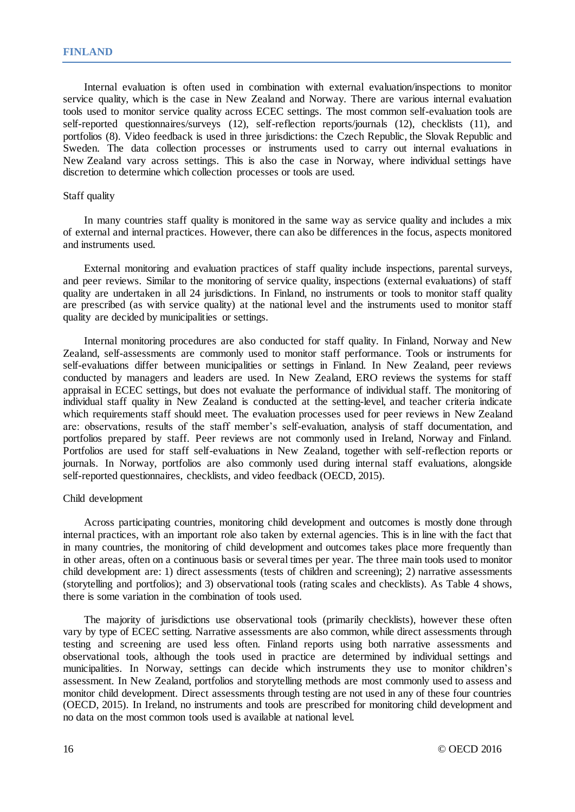Internal evaluation is often used in combination with external evaluation/inspections to monitor service quality, which is the case in New Zealand and Norway. There are various internal evaluation tools used to monitor service quality across ECEC settings. The most common self-evaluation tools are self-reported questionnaires/surveys (12), self-reflection reports/journals (12), checklists (11), and portfolios (8). Video feedback is used in three jurisdictions: the Czech Republic, the Slovak Republic and Sweden. The data collection processes or instruments used to carry out internal evaluations in New Zealand vary across settings. This is also the case in Norway, where individual settings have discretion to determine which collection processes or tools are used.

# Staff quality

In many countries staff quality is monitored in the same way as service quality and includes a mix of external and internal practices. However, there can also be differences in the focus, aspects monitored and instruments used.

External monitoring and evaluation practices of staff quality include inspections, parental surveys, and peer reviews. Similar to the monitoring of service quality, inspections (external evaluations) of staff quality are undertaken in all 24 jurisdictions. In Finland, no instruments or tools to monitor staff quality are prescribed (as with service quality) at the national level and the instruments used to monitor staff quality are decided by municipalities or settings.

Internal monitoring procedures are also conducted for staff quality. In Finland, Norway and New Zealand, self-assessments are commonly used to monitor staff performance. Tools or instruments for self-evaluations differ between municipalities or settings in Finland. In New Zealand, peer reviews conducted by managers and leaders are used. In New Zealand, ERO reviews the systems for staff appraisal in ECEC settings, but does not evaluate the performance of individual staff. The monitoring of individual staff quality in New Zealand is conducted at the setting-level, and teacher criteria indicate which requirements staff should meet. The evaluation processes used for peer reviews in New Zealand are: observations, results of the staff member's self-evaluation, analysis of staff documentation, and portfolios prepared by staff. Peer reviews are not commonly used in Ireland, Norway and Finland. Portfolios are used for staff self-evaluations in New Zealand, together with self-reflection reports or journals. In Norway, portfolios are also commonly used during internal staff evaluations, alongside self-reported questionnaires, checklists, and video feedback (OECD, 2015).

#### Child development

Across participating countries, monitoring child development and outcomes is mostly done through internal practices, with an important role also taken by external agencies. This is in line with the fact that in many countries, the monitoring of child development and outcomes takes place more frequently than in other areas, often on a continuous basis or several times per year. The three main tools used to monitor child development are: 1) direct assessments (tests of children and screening); 2) narrative assessments (storytelling and portfolios); and 3) observational tools (rating scales and checklists). As Table 4 shows, there is some variation in the combination of tools used.

The majority of jurisdictions use observational tools (primarily checklists), however these often vary by type of ECEC setting. Narrative assessments are also common, while direct assessments through testing and screening are used less often. Finland reports using both narrative assessments and observational tools, although the tools used in practice are determined by individual settings and municipalities. In Norway, settings can decide which instruments they use to monitor children's assessment. In New Zealand, portfolios and storytelling methods are most commonly used to assess and monitor child development. Direct assessments through testing are not used in any of these four countries (OECD, 2015). In Ireland, no instruments and tools are prescribed for monitoring child development and no data on the most common tools used is available at national level.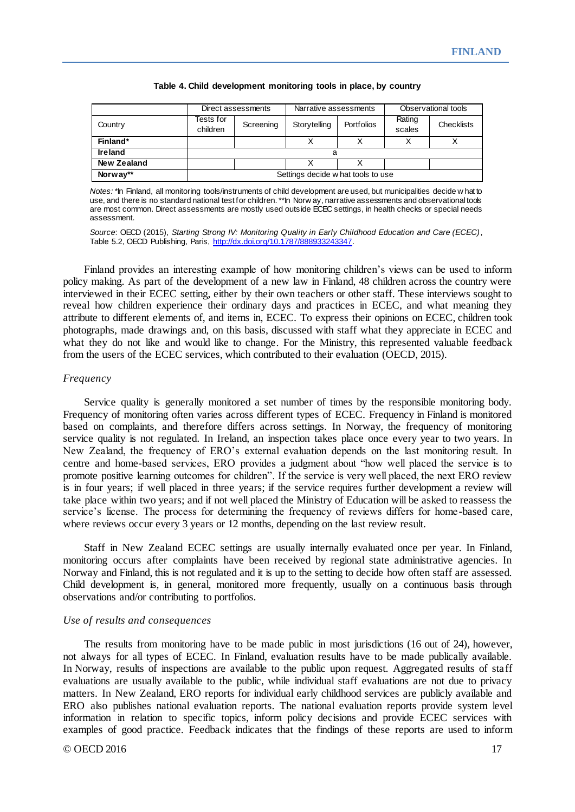|                |                                    | Direct assessments | Narrative assessments |                   | Observational tools |                   |  |  |  |
|----------------|------------------------------------|--------------------|-----------------------|-------------------|---------------------|-------------------|--|--|--|
| Country        | Tests for<br>children              | Screening          | Storytelling          | <b>Portfolios</b> | Rating<br>scales    | <b>Checklists</b> |  |  |  |
| Finland*       |                                    |                    |                       |                   |                     |                   |  |  |  |
| <b>Ireland</b> |                                    | a                  |                       |                   |                     |                   |  |  |  |
| New Zealand    |                                    |                    |                       |                   |                     |                   |  |  |  |
| Norway**       | Settings decide w hat tools to use |                    |                       |                   |                     |                   |  |  |  |

#### **Table 4. Child development monitoring tools in place, by country**

*Notes: \**In Finland, all monitoring tools/instruments of child development are used, but municipalities decide w hat to use, and there is no standard national test for children. \*\*In Norw ay, narrative assessments and observational tools are most common. Direct assessments are mostly used outside ECEC settings, in health checks or special needs assessment.

*Source*: OECD (2015), *Starting Strong IV: Monitoring Quality in Early Childhood Education and Care (ECEC)*, Table 5.2, OECD Publishing, Paris,<http://dx.doi.org/10.1787/888933243347>.

Finland provides an interesting example of how monitoring children's views can be used to inform policy making. As part of the development of a new law in Finland, 48 children across the country were interviewed in their ECEC setting, either by their own teachers or other staff. These interviews sought to reveal how children experience their ordinary days and practices in ECEC, and what meaning they attribute to different elements of, and items in, ECEC. To express their opinions on ECEC, children took photographs, made drawings and, on this basis, discussed with staff what they appreciate in ECEC and what they do not like and would like to change. For the Ministry, this represented valuable feedback from the users of the ECEC services, which contributed to their evaluation (OECD, 2015).

#### *Frequency*

Service quality is generally monitored a set number of times by the responsible monitoring body. Frequency of monitoring often varies across different types of ECEC. Frequency in Finland is monitored based on complaints, and therefore differs across settings. In Norway, the frequency of monitoring service quality is not regulated. In Ireland, an inspection takes place once every year to two years. In New Zealand, the frequency of ERO's external evaluation depends on the last monitoring result. In centre and home-based services, ERO provides a judgment about "how well placed the service is to promote positive learning outcomes for children". If the service is very well placed, the next ERO review is in four years; if well placed in three years; if the service requires further development a review will take place within two years; and if not well placed the Ministry of Education will be asked to reassess the service's license. The process for determining the frequency of reviews differs for home-based care, where reviews occur every 3 years or 12 months, depending on the last review result.

Staff in New Zealand ECEC settings are usually internally evaluated once per year. In Finland, monitoring occurs after complaints have been received by regional state administrative agencies. In Norway and Finland, this is not regulated and it is up to the setting to decide how often staff are assessed. Child development is, in general, monitored more frequently, usually on a continuous basis through observations and/or contributing to portfolios.

#### *Use of results and consequences*

The results from monitoring have to be made public in most jurisdictions (16 out of 24), however, not always for all types of ECEC. In Finland, evaluation results have to be made publically available. In Norway, results of inspections are available to the public upon request. Aggregated results of staff evaluations are usually available to the public, while individual staff evaluations are not due to privacy matters. In New Zealand, ERO reports for individual early childhood services are publicly available and ERO also publishes national evaluation reports. The national evaluation reports provide system level information in relation to specific topics, inform policy decisions and provide ECEC services with examples of good practice. Feedback indicates that the findings of these reports are used to inform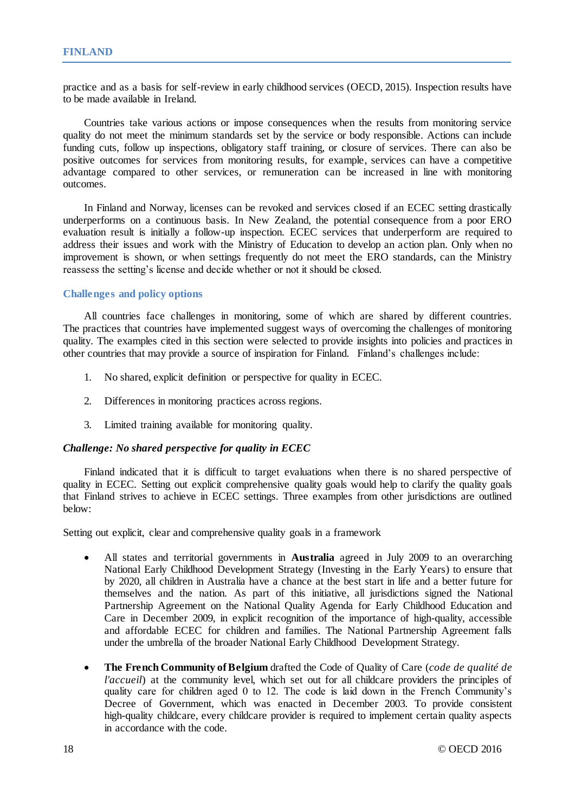practice and as a basis for self-review in early childhood services (OECD, 2015). Inspection results have to be made available in Ireland.

Countries take various actions or impose consequences when the results from monitoring service quality do not meet the minimum standards set by the service or body responsible. Actions can include funding cuts, follow up inspections, obligatory staff training, or closure of services. There can also be positive outcomes for services from monitoring results, for example, services can have a competitive advantage compared to other services, or remuneration can be increased in line with monitoring outcomes.

In Finland and Norway, licenses can be revoked and services closed if an ECEC setting drastically underperforms on a continuous basis. In New Zealand, the potential consequence from a poor ERO evaluation result is initially a follow-up inspection. ECEC services that underperform are required to address their issues and work with the Ministry of Education to develop an action plan. Only when no improvement is shown, or when settings frequently do not meet the ERO standards, can the Ministry reassess the setting's license and decide whether or not it should be closed.

# **Challenges and policy options**

All countries face challenges in monitoring, some of which are shared by different countries. The practices that countries have implemented suggest ways of overcoming the challenges of monitoring quality. The examples cited in this section were selected to provide insights into policies and practices in other countries that may provide a source of inspiration for Finland. Finland's challenges include:

- 1. No shared, explicit definition or perspective for quality in ECEC.
- 2. Differences in monitoring practices across regions.
- 3. Limited training available for monitoring quality.

# *Challenge: No shared perspective for quality in ECEC*

Finland indicated that it is difficult to target evaluations when there is no shared perspective of quality in ECEC. Setting out explicit comprehensive quality goals would help to clarify the quality goals that Finland strives to achieve in ECEC settings. Three examples from other jurisdictions are outlined below:

Setting out explicit, clear and comprehensive quality goals in a framework

- All states and territorial governments in **Australia** agreed in July 2009 to an overarching National Early Childhood Development Strategy (Investing in the Early Years) to ensure that by 2020, all children in Australia have a chance at the best start in life and a better future for themselves and the nation. As part of this initiative, all jurisdictions signed the National Partnership Agreement on the National Quality Agenda for Early Childhood Education and Care in December 2009, in explicit recognition of the importance of high-quality, accessible and affordable ECEC for children and families. The National Partnership Agreement falls under the umbrella of the broader National Early Childhood Development Strategy.
- **The French Community of Belgium** drafted the Code of Quality of Care (*code de qualité de l'accueil*) at the community level, which set out for all childcare providers the principles of quality care for children aged 0 to 12. The code is laid down in the French Community's Decree of Government, which was enacted in December 2003. To provide consistent high-quality childcare, every childcare provider is required to implement certain quality aspects in accordance with the code.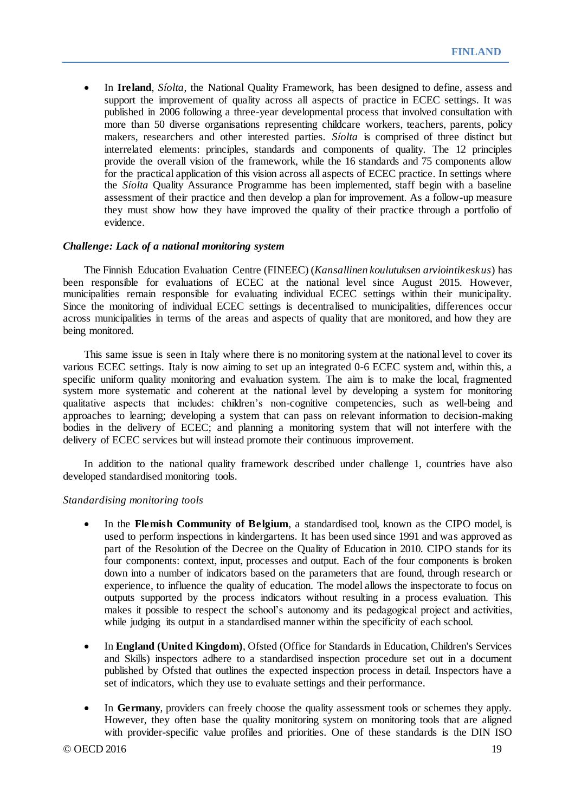In **Ireland**, *Síolta*, the National Quality Framework, has been designed to define, assess and support the improvement of quality across all aspects of practice in ECEC settings. It was published in 2006 following a three-year developmental process that involved consultation with more than 50 diverse organisations representing childcare workers, teachers, parents, policy makers, researchers and other interested parties. *Síolta* is comprised of three distinct but interrelated elements: principles, standards and components of quality. The 12 principles provide the overall vision of the framework, while the 16 standards and 75 components allow for the practical application of this vision across all aspects of ECEC practice. In settings where the *Síolta* Quality Assurance Programme has been implemented, staff begin with a baseline assessment of their practice and then develop a plan for improvement. As a follow-up measure they must show how they have improved the quality of their practice through a portfolio of evidence.

#### *Challenge: Lack of a national monitoring system*

The Finnish Education Evaluation Centre (FINEEC) (*Kansallinen koulutuksen arviointikeskus*) has been responsible for evaluations of ECEC at the national level since August 2015. However, municipalities remain responsible for evaluating individual ECEC settings within their municipality. Since the monitoring of individual ECEC settings is decentralised to municipalities, differences occur across municipalities in terms of the areas and aspects of quality that are monitored, and how they are being monitored.

This same issue is seen in Italy where there is no monitoring system at the national level to cover its various ECEC settings. Italy is now aiming to set up an integrated 0-6 ECEC system and, within this, a specific uniform quality monitoring and evaluation system. The aim is to make the local, fragmented system more systematic and coherent at the national level by developing a system for monitoring qualitative aspects that includes: children's non-cognitive competencies, such as well-being and approaches to learning; developing a system that can pass on relevant information to decision-making bodies in the delivery of ECEC; and planning a monitoring system that will not interfere with the delivery of ECEC services but will instead promote their continuous improvement.

In addition to the national quality framework described under challenge 1, countries have also developed standardised monitoring tools.

#### *Standardising monitoring tools*

- In the **Flemish Community of Belgium**, a standardised tool, known as the CIPO model, is used to perform inspections in kindergartens. It has been used since 1991 and was approved as part of the Resolution of the Decree on the Quality of Education in 2010. CIPO stands for its four components: context, input, processes and output. Each of the four components is broken down into a number of indicators based on the parameters that are found, through research or experience, to influence the quality of education. The model allows the inspectorate to focus on outputs supported by the process indicators without resulting in a process evaluation. This makes it possible to respect the school's autonomy and its pedagogical project and activities, while judging its output in a standardised manner within the specificity of each school.
- In **England (United Kingdom)**, Ofsted (Office for Standards in Education, Children's Services and Skills) inspectors adhere to a standardised inspection procedure set out in a document published by Ofsted that outlines the expected inspection process in detail. Inspectors have a set of indicators, which they use to evaluate settings and their performance.
- In **Germany**, providers can freely choose the quality assessment tools or schemes they apply. However, they often base the quality monitoring system on monitoring tools that are aligned with provider-specific value profiles and priorities. One of these standards is the DIN ISO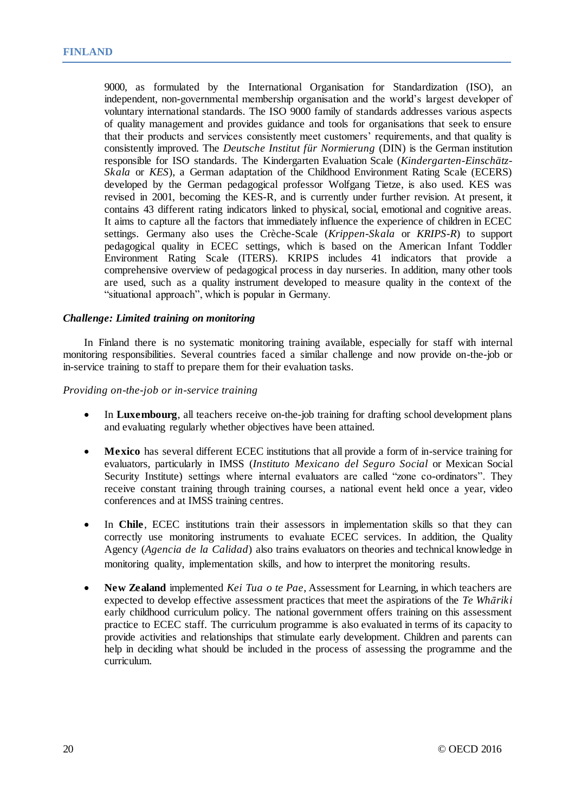9000, as formulated by the International Organisation for Standardization (ISO), an independent, non-governmental membership organisation and the world's largest developer of voluntary international standards. The ISO 9000 family of standards addresses various aspects of quality management and provides guidance and tools for organisations that seek to ensure that their products and services consistently meet customers' requirements, and that quality is consistently improved. The *Deutsche Institut für Normierung* (DIN) is the German institution responsible for ISO standards. The Kindergarten Evaluation Scale (*Kindergarten-Einschätz-Skala* or *KES*), a German adaptation of the Childhood Environment Rating Scale (ECERS) developed by the German pedagogical professor Wolfgang Tietze, is also used. KES was revised in 2001, becoming the KES-R, and is currently under further revision. At present, it contains 43 different rating indicators linked to physical, social, emotional and cognitive areas. It aims to capture all the factors that immediately influence the experience of children in ECEC settings. Germany also uses the Crèche-Scale (*Krippen-Skala* or *KRIPS-R*) to support pedagogical quality in ECEC settings, which is based on the American Infant Toddler Environment Rating Scale (ITERS). KRIPS includes 41 indicators that provide a comprehensive overview of pedagogical process in day nurseries. In addition, many other tools are used, such as a quality instrument developed to measure quality in the context of the "situational approach", which is popular in Germany.

# *Challenge: Limited training on monitoring*

In Finland there is no systematic monitoring training available, especially for staff with internal monitoring responsibilities. Several countries faced a similar challenge and now provide on-the-job or in-service training to staff to prepare them for their evaluation tasks.

# *Providing on-the-job or in-service training*

- In **Luxembourg**, all teachers receive on-the-job training for drafting school development plans and evaluating regularly whether objectives have been attained.
- **Mexico** has several different ECEC institutions that all provide a form of in-service training for evaluators, particularly in IMSS (*Instituto Mexicano del Seguro Social* or Mexican Social Security Institute) settings where internal evaluators are called "zone co-ordinators". They receive constant training through training courses, a national event held once a year, video conferences and at IMSS training centres.
- In **Chile**, ECEC institutions train their assessors in implementation skills so that they can correctly use monitoring instruments to evaluate ECEC services. In addition, the Quality Agency (*Agencia de la Calidad*) also trains evaluators on theories and technical knowledge in monitoring quality, implementation skills, and how to interpret the monitoring results.
- **New Zealand** implemented *Kei Tua o te Pae*, Assessment for Learning, in which teachers are expected to develop effective assessment practices that meet the aspirations of the *Te Whāriki*  early childhood curriculum policy. The national government offers training on this assessment practice to ECEC staff. The curriculum programme is also evaluated in terms of its capacity to provide activities and relationships that stimulate early development. Children and parents can help in deciding what should be included in the process of assessing the programme and the curriculum.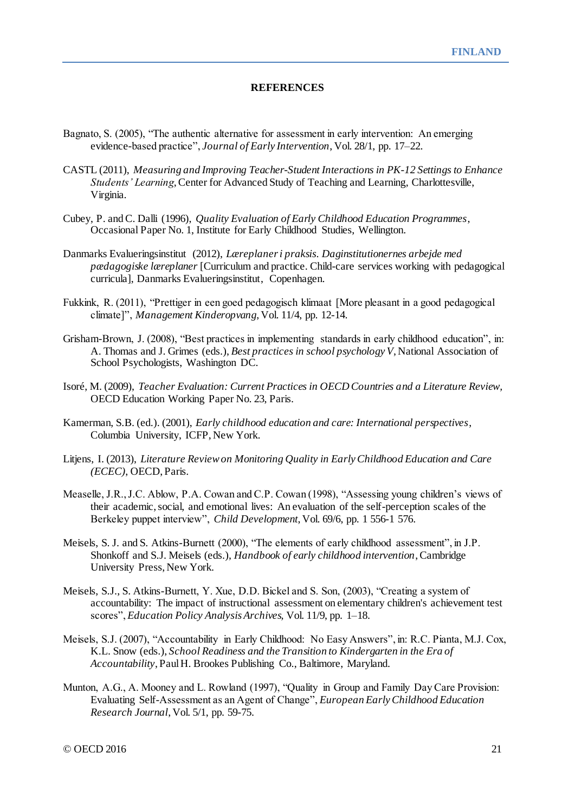# **REFERENCES**

- Bagnato, S. (2005), "The authentic alternative for assessment in early intervention: An emerging evidence-based practice", *Journal of Early Intervention*, Vol. 28/1, pp. 17–22.
- CASTL (2011), *Measuring and Improving Teacher-Student Interactions in PK-12 Settings to Enhance Students' Learning*, Center for Advanced Study of Teaching and Learning, Charlottesville, Virginia.
- Cubey, P. and C. Dalli (1996), *Quality Evaluation of Early Childhood Education Programmes*, Occasional Paper No. 1, Institute for Early Childhood Studies, Wellington.
- Danmarks Evalueringsinstitut (2012), *Læreplaner i praksis. Daginstitutionernes arbejde med pædagogiske læreplaner* [Curriculum and practice. Child-care services working with pedagogical curricula], Danmarks Evalueringsinstitut, Copenhagen.
- Fukkink, R. (2011), "Prettiger in een goed pedagogisch klimaat [More pleasant in a good pedagogical climate]", *Management Kinderopvang*, Vol. 11/4, pp. 12-14.
- Grisham-Brown, J. (2008), "Best practices in implementing standards in early childhood education", in: A. Thomas and J. Grimes (eds.), *Best practices in school psychology V*, National Association of School Psychologists, Washington DC.
- Isoré, M. (2009), *Teacher Evaluation: Current Practices in OECD Countries and a Literature Review,*  OECD Education Working Paper No. 23, Paris.
- Kamerman, S.B. (ed.). (2001), *Early childhood education and care: International perspectives*, Columbia University, ICFP, New York.
- Litjens, I. (2013), *Literature Review on Monitoring Quality in Early Childhood Education and Care (ECEC)*, OECD, Paris.
- Measelle, J.R., J.C. Ablow, P.A. Cowan and C.P. Cowan (1998), "Assessing young children's views of their academic, social, and emotional lives: An evaluation of the self-perception scales of the Berkeley puppet interview", *Child Development*, Vol. 69/6, pp. 1 556-1 576.
- Meisels, S. J. and S. Atkins-Burnett (2000), "The elements of early childhood assessment", in J.P. Shonkoff and S.J. Meisels (eds.), *Handbook of early childhood intervention*, Cambridge University Press, New York.
- Meisels, S.J., S. Atkins-Burnett, Y. Xue, D.D. Bickel and S. Son, (2003), "Creating a system of accountability: The impact of instructional assessment on elementary children's achievement test scores", *Education Policy Analysis Archives,* Vol. 11/9, pp. 1–18.
- Meisels, S.J. (2007), "Accountability in Early Childhood: No Easy Answers", in: R.C. Pianta, M.J. Cox, K.L. Snow (eds.), *School Readiness and the Transition to Kindergarten in the Era of Accountability*, Paul H. Brookes Publishing Co., Baltimore, Maryland.
- Munton, A.G., A. Mooney and L. Rowland (1997), "Quality in Group and Family Day Care Provision: Evaluating Self-Assessment as an Agent of Change", *European Early Childhood Education Research Journal*, Vol. 5/1, pp. 59-75.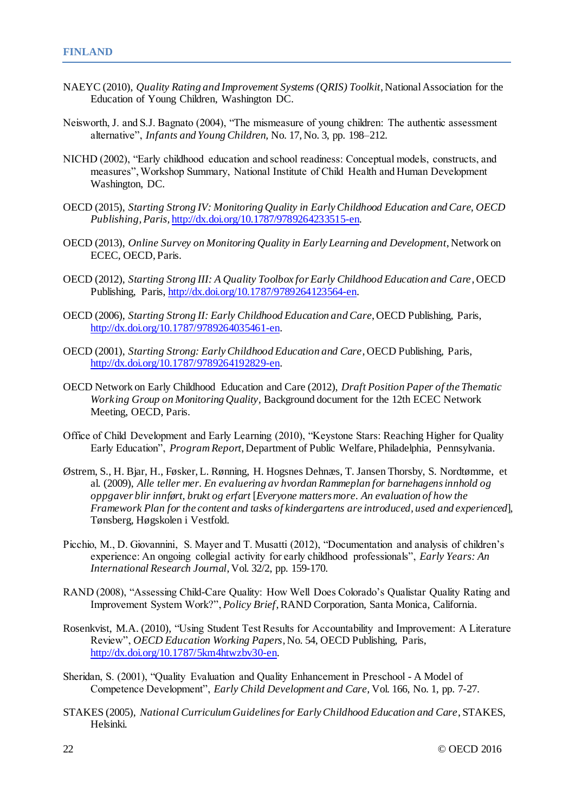- NAEYC (2010), *Quality Rating and Improvement Systems (QRIS) Toolkit*, National Association for the Education of Young Children, Washington DC.
- Neisworth, J. and S.J. Bagnato (2004), "The mismeasure of young children: The authentic assessment alternative", *Infants and Young Children,* No. 17, No. 3, pp. 198–212.
- NICHD (2002), "Early childhood education and school readiness: Conceptual models, constructs, and measures", Workshop Summary, National Institute of Child Health and Human Development Washington, DC.
- OECD (2015), *Starting Strong IV: Monitoring Quality in Early Childhood Education and Care, OECD Publishing, Paris,* <http://dx.doi.org/10.1787/9789264233515-en>*.*
- OECD (2013), *Online Survey on Monitoring Quality in Early Learning and Development*, Network on ECEC, OECD, Paris.
- OECD (2012), *Starting Strong III: A Quality Toolbox for Early Childhood Education and Care*, OECD Publishing, Paris[, http://dx.doi.org/10.1787/9789264123564-en.](http://dx.doi.org/10.1787/9789264123564-en)
- OECD (2006), *Starting Strong II: Early Childhood Education and Care*, OECD Publishing, Paris, [http://dx.doi.org/10.1787/9789264035461-en.](http://dx.doi.org/10.1787/9789264035461-en)
- OECD (2001), *Starting Strong: Early Childhood Education and Care*, OECD Publishing, Paris, [http://dx.doi.org/10.1787/9789264192829-en.](http://dx.doi.org/10.1787/9789264192829-en)
- OECD Network on Early Childhood Education and Care (2012), *Draft Position Paper of the Thematic Working Group on Monitoring Quality,* Background document for the 12th ECEC Network Meeting, OECD, Paris.
- Office of Child Development and Early Learning (2010), "Keystone Stars: Reaching Higher for Quality Early Education", *Program Report*, Department of Public Welfare, Philadelphia, Pennsylvania.
- Østrem, S., H. Bjar, H., Føsker, L. Rønning, H. Hogsnes Dehnæs, T. Jansen Thorsby, S. Nordtømme, et al. (2009), *Alle teller mer. En evaluering av hvordan Rammeplan for barnehagens innhold og oppgaver blir innført, brukt og erfart* [*Everyone matters more. An evaluation of how the Framework Plan for the content and tasks of kindergartens are introduced, used and experienced*], Tønsberg, Høgskolen i Vestfold.
- Picchio, M., D. Giovannini, S. Mayer and T. Musatti (2012), "Documentation and analysis of children's experience: An ongoing collegial activity for early childhood professionals", *Early Years: An International Research Journal*, Vol. 32/2, pp. 159-170.
- RAND (2008), "Assessing Child-Care Quality: How Well Does Colorado's Qualistar Quality Rating and Improvement System Work?", *Policy Brief*, RAND Corporation, Santa Monica, California.
- Rosenkvist, M.A. (2010), "Using Student Test Results for Accountability and Improvement: A Literature Review", *OECD Education Working Papers*, No. 54, OECD Publishing, Paris, [http://dx.doi.org/10.1787/5km4htwzbv30-en.](http://dx.doi.org/10.1787/5km4htwzbv30-en)
- Sheridan, S. (2001), "Quality Evaluation and Quality Enhancement in Preschool A Model of Competence Development", *Early Child Development and Care,* Vol. 166, No. 1, pp. 7-27.
- STAKES (2005), *National Curriculum Guidelines for Early Childhood Education and Care*, STAKES, Helsinki.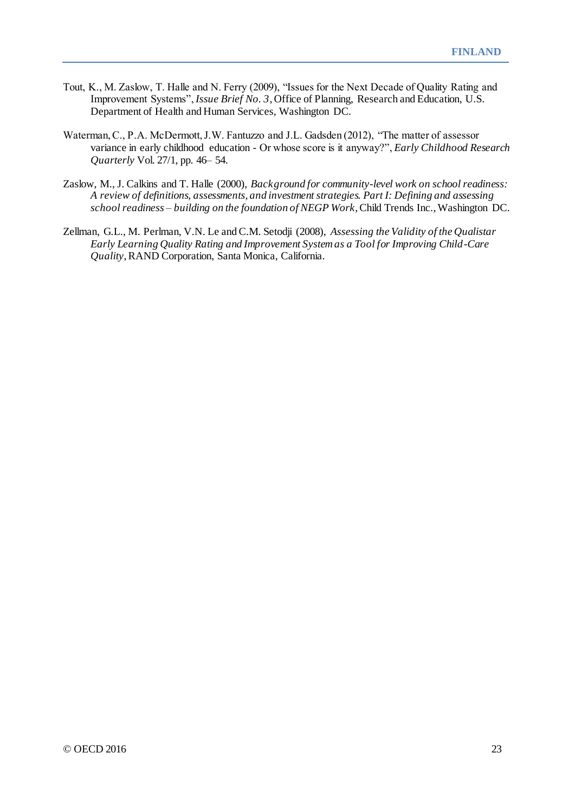- Tout, K., M. Zaslow, T. Halle and N. Ferry (2009), "Issues for the Next Decade of Quality Rating and Improvement Systems", *Issue Brief No. 3*, Office of Planning, Research and Education, U.S. Department of Health and Human Services, Washington DC.
- Waterman, C., P.A. McDermott, J.W. Fantuzzo and J.L. Gadsden (2012), "The matter of assessor variance in early childhood education - Or whose score is it anyway?", *Early Childhood Research Quarterly* Vol. 27/1, pp. 46– 54.
- Zaslow, M., J. Calkins and T. Halle (2000), *Background for community-level work on school readiness: A review of definitions, assessments, and investment strategies. Part I: Defining and assessing school readiness – building on the foundation of NEGP Work*, Child Trends Inc., Washington DC.
- Zellman, G.L., M. Perlman, V.N. Le and C.M. Setodji (2008), *Assessing the Validity of the Qualistar Early Learning Quality Rating and Improvement System as a Tool for Improving Child-Care Quality*, RAND Corporation, Santa Monica, California.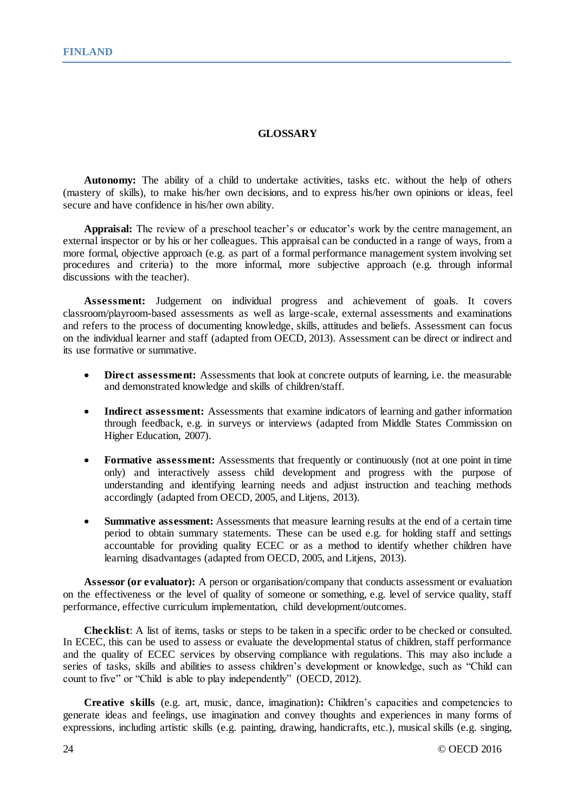# **GLOSSARY**

**Autonomy:** The ability of a child to undertake activities, tasks etc. without the help of others (mastery of skills), to make his/her own decisions, and to express his/her own opinions or ideas, feel secure and have confidence in his/her own ability.

**Appraisal:** The review of a preschool teacher's or educator's work by the centre management, an external inspector or by his or her colleagues. This appraisal can be conducted in a range of ways, from a more formal, objective approach (e.g. as part of a formal performance management system involving set procedures and criteria) to the more informal, more subjective approach (e.g. through informal discussions with the teacher).

**Assessment:** Judgement on individual progress and achievement of goals. It covers classroom/playroom-based assessments as well as large-scale, external assessments and examinations and refers to the process of documenting knowledge, skills, attitudes and beliefs. Assessment can focus on the individual learner and staff (adapted from OECD, 2013). Assessment can be direct or indirect and its use formative or summative.

- **Direct assessment:** Assessments that look at concrete outputs of learning, i.e. the measurable and demonstrated knowledge and skills of children/staff.
- Indirect assessment: Assessments that examine indicators of learning and gather information through feedback, e.g. in surveys or interviews (adapted from Middle States Commission on Higher Education, 2007).
- **Formative assessment:** Assessments that frequently or continuously (not at one point in time only) and interactively assess child development and progress with the purpose of understanding and identifying learning needs and adjust instruction and teaching methods accordingly (adapted from OECD, 2005, and Litjens, 2013).
- **Summative assessment:** Assessments that measure learning results at the end of a certain time period to obtain summary statements. These can be used e.g. for holding staff and settings accountable for providing quality ECEC or as a method to identify whether children have learning disadvantages (adapted from OECD, 2005, and Litjens, 2013).

**Assessor (or evaluator):** A person or organisation/company that conducts assessment or evaluation on the effectiveness or the level of quality of someone or something, e.g. level of service quality, staff performance, effective curriculum implementation, child development/outcomes.

**Checklist**: A list of items, tasks or steps to be taken in a specific order to be checked or consulted. In ECEC, this can be used to assess or evaluate the developmental status of children, staff performance and the quality of ECEC services by observing compliance with regulations. This may also include a series of tasks, skills and abilities to assess children's development or knowledge, such as "Child can count to five" or "Child is able to play independently" (OECD, 2012).

**Creative skills** (e.g. art, music, dance, imagination)**:** Children's capacities and competencies to generate ideas and feelings, use imagination and convey thoughts and experiences in many forms of expressions, including artistic skills (e.g. painting, drawing, handicrafts, etc.), musical skills (e.g. singing,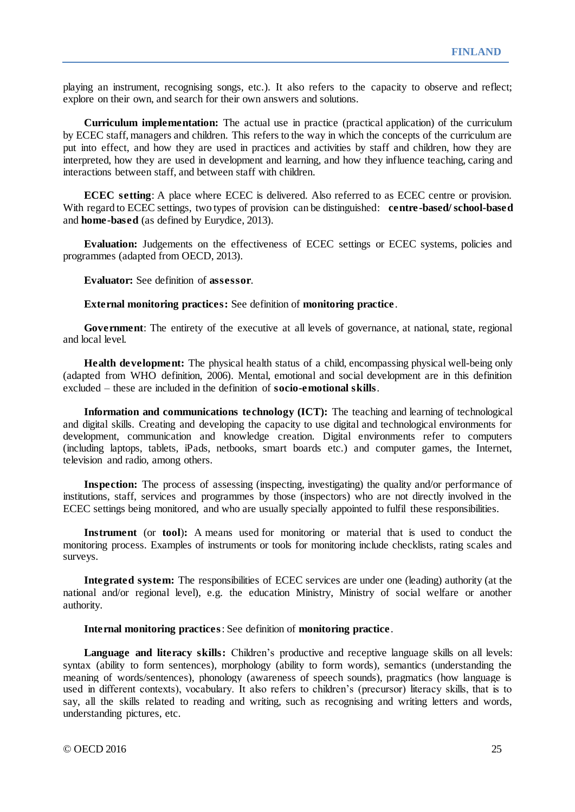playing an instrument, recognising songs, etc.). It also refers to the capacity to observe and reflect; explore on their own, and search for their own answers and solutions.

**Curriculum implementation:** The actual use in practice (practical application) of the curriculum by ECEC staff, managers and children. This refers to the way in which the concepts of the curriculum are put into effect, and how they are used in practices and activities by staff and children, how they are interpreted, how they are used in development and learning, and how they influence teaching, caring and interactions between staff, and between staff with children.

**ECEC setting**: A place where ECEC is delivered. Also referred to as ECEC centre or provision. With regard to ECEC settings, two types of provision can be distinguished: **centre-based/ school-based**  and **home-based** (as defined by Eurydice, 2013).

**Evaluation:** Judgements on the effectiveness of ECEC settings or ECEC systems, policies and programmes (adapted from OECD, 2013).

**Evaluator:** See definition of **assessor**.

**External monitoring practices:** See definition of **monitoring practice**.

Government: The entirety of the executive at all levels of governance, at national, state, regional and local level.

**Health development:** The physical health status of a child, encompassing physical well-being only (adapted from WHO definition, 2006). Mental, emotional and social development are in this definition excluded – these are included in the definition of **socio-emotional skills**.

**Information and communications technology (ICT):** The teaching and learning of technological and digital skills. Creating and developing the capacity to use digital and technological environments for development, communication and knowledge creation. Digital environments refer to computers (including laptops, tablets, iPads, netbooks, smart boards etc.) and computer games, the Internet, television and radio, among others.

**Inspection:** The process of assessing (inspecting, investigating) the quality and/or performance of institutions, staff, services and programmes by those (inspectors) who are not directly involved in the ECEC settings being monitored, and who are usually specially appointed to fulfil these responsibilities.

**Instrument** (or **tool**)**:** A means used for monitoring or material that is used to conduct the monitoring process. Examples of instruments or tools for monitoring include checklists, rating scales and surveys.

**Integrated system:** The responsibilities of ECEC services are under one (leading) authority (at the national and/or regional level), e.g. the education Ministry, Ministry of social welfare or another authority.

**Internal monitoring practices**: See definition of **monitoring practice**.

Language and literacy skills: Children's productive and receptive language skills on all levels: syntax (ability to form sentences), morphology (ability to form words), semantics (understanding the meaning of words/sentences), phonology (awareness of speech sounds), pragmatics (how language is used in different contexts), vocabulary. It also refers to children's (precursor) literacy skills, that is to say, all the skills related to reading and writing, such as recognising and writing letters and words, understanding pictures, etc.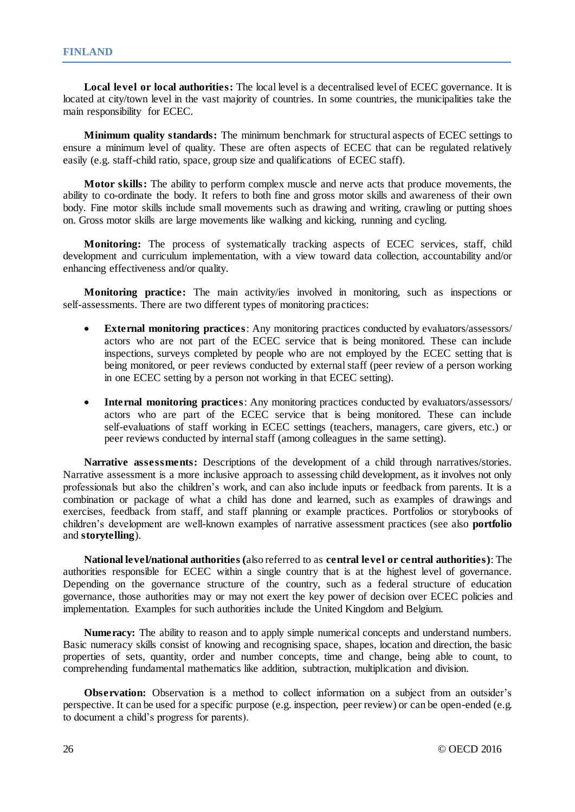**Local level or local authorities:** The local level is a decentralised level of ECEC governance. It is located at city/town level in the vast majority of countries. In some countries, the municipalities take the main responsibility for ECEC.

**Minimum quality standards:** The minimum benchmark for structural aspects of ECEC settings to ensure a minimum level of quality. These are often aspects of ECEC that can be regulated relatively easily (e.g. staff-child ratio, space, group size and qualifications of ECEC staff).

**Motor skills:** The ability to perform complex muscle and nerve acts that produce movements, the ability to co-ordinate the body. It refers to both fine and gross motor skills and awareness of their own body. Fine motor skills include small movements such as drawing and writing, crawling or putting shoes on. Gross motor skills are large movements like walking and kicking, running and cycling.

**Monitoring:** The process of systematically tracking aspects of ECEC services, staff, child development and curriculum implementation, with a view toward data collection, accountability and/or enhancing effectiveness and/or quality.

**Monitoring practice:** The main activity/ies involved in monitoring, such as inspections or self-assessments. There are two different types of monitoring practices:

- **External monitoring practices**: Any monitoring practices conducted by evaluators/assessors/ actors who are not part of the ECEC service that is being monitored. These can include inspections, surveys completed by people who are not employed by the ECEC setting that is being monitored, or peer reviews conducted by external staff (peer review of a person working in one ECEC setting by a person not working in that ECEC setting).
- **Internal monitoring practices**: Any monitoring practices conducted by evaluators/assessors/ actors who are part of the ECEC service that is being monitored. These can include self-evaluations of staff working in ECEC settings (teachers, managers, care givers, etc.) or peer reviews conducted by internal staff (among colleagues in the same setting).

**Narrative assessments:** Descriptions of the development of a child through narratives/stories. Narrative assessment is a more inclusive approach to assessing child development, as it involves not only professionals but also the children's work, and can also include inputs or feedback from parents. It is a combination or package of what a child has done and learned, such as examples of drawings and exercises, feedback from staff, and staff planning or example practices. Portfolios or storybooks of children's development are well-known examples of narrative assessment practices (see also **portfolio** and **storytelling**).

**National level/national authorities (**also referred to as **central level or central authorities)**: The authorities responsible for ECEC within a single country that is at the highest level of governance. Depending on the governance structure of the country, such as a federal structure of education governance, those authorities may or may not exert the key power of decision over ECEC policies and implementation. Examples for such authorities include the United Kingdom and Belgium.

**Numeracy:** The ability to reason and to apply simple numerical concepts and understand numbers. Basic numeracy skills consist of knowing and recognising space, shapes, location and direction, the basic properties of sets, quantity, order and number concepts, time and change, being able to count, to comprehending fundamental mathematics like addition, subtraction, multiplication and division.

**Observation:** Observation is a method to collect information on a subject from an outsider's perspective. It can be used for a specific purpose (e.g. inspection, peer review) or can be open-ended (e.g. to document a child's progress for parents).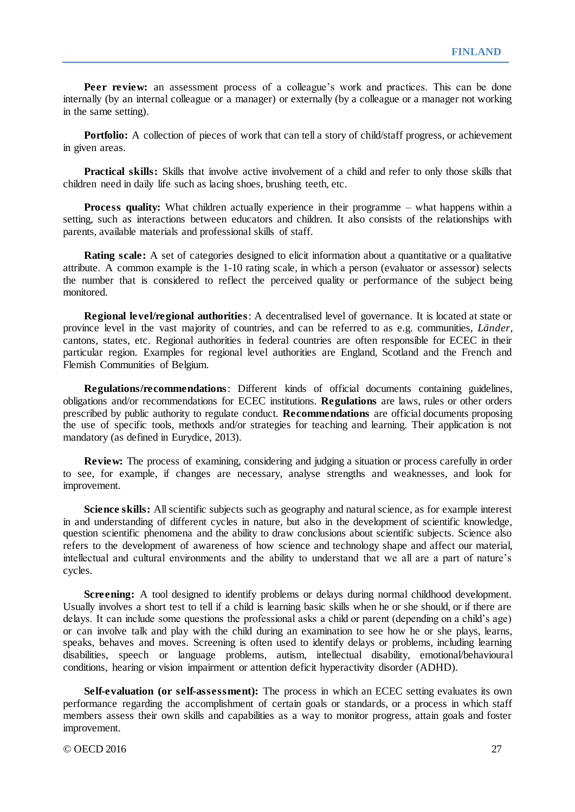**Peer review:** an assessment process of a colleague's work and practices. This can be done internally (by an internal colleague or a manager) or externally (by a colleague or a manager not working in the same setting).

**Portfolio:** A collection of pieces of work that can tell a story of child/staff progress, or achievement in given areas.

**Practical skills:** Skills that involve active involvement of a child and refer to only those skills that children need in daily life such as lacing shoes, brushing teeth, etc.

**Process quality:** What children actually experience in their programme – what happens within a setting, such as interactions between educators and children. It also consists of the relationships with parents, available materials and professional skills of staff.

**Rating scale:** A set of categories designed to elicit information about a quantitative or a qualitative attribute. A common example is the 1-10 rating scale, in which a person (evaluator or assessor) selects the number that is considered to reflect the perceived quality or performance of the subject being monitored.

**Regional level/regional authorities**: A decentralised level of governance. It is located at state or province level in the vast majority of countries, and can be referred to as e.g. communities, *Länder*, cantons, states, etc. Regional authorities in federal countries are often responsible for ECEC in their particular region. Examples for regional level authorities are England, Scotland and the French and Flemish Communities of Belgium.

**Regulations/recommendations**: Different kinds of official documents containing guidelines, obligations and/or recommendations for ECEC institutions. **Regulations** are laws, rules or other orders prescribed by public authority to regulate conduct. **Recommendations** are official documents proposing the use of specific tools, methods and/or strategies for teaching and learning. Their application is not mandatory (as defined in Eurydice, 2013).

**Review:** The process of examining, considering and judging a situation or process carefully in order to see, for example, if changes are necessary, analyse strengths and weaknesses, and look for improvement.

**Science skills:** All scientific subjects such as geography and natural science, as for example interest in and understanding of different cycles in nature, but also in the development of scientific knowledge, question scientific phenomena and the ability to draw conclusions about scientific subjects. Science also refers to the development of awareness of how science and technology shape and affect our material, intellectual and cultural environments and the ability to understand that we all are a part of nature's cycles.

**Screening:** A tool designed to identify problems or delays during normal childhood development. Usually involves a short test to tell if a child is learning basic skills when he or she should, or if there are delays. It can include some questions the professional asks a child or parent (depending on a child's age) or can involve talk and play with the child during an examination to see how he or she plays, learns, speaks, behaves and moves. Screening is often used to identify delays or problems, including learning disabilities, speech or language problems, autism, intellectual disability, emotional/behavioural conditions, hearing or vision impairment or attention deficit hyperactivity disorder (ADHD).

**Self-evaluation (or self-assessment):** The process in which an ECEC setting evaluates its own performance regarding the accomplishment of certain goals or standards, or a process in which staff members assess their own skills and capabilities as a way to monitor progress, attain goals and foster improvement.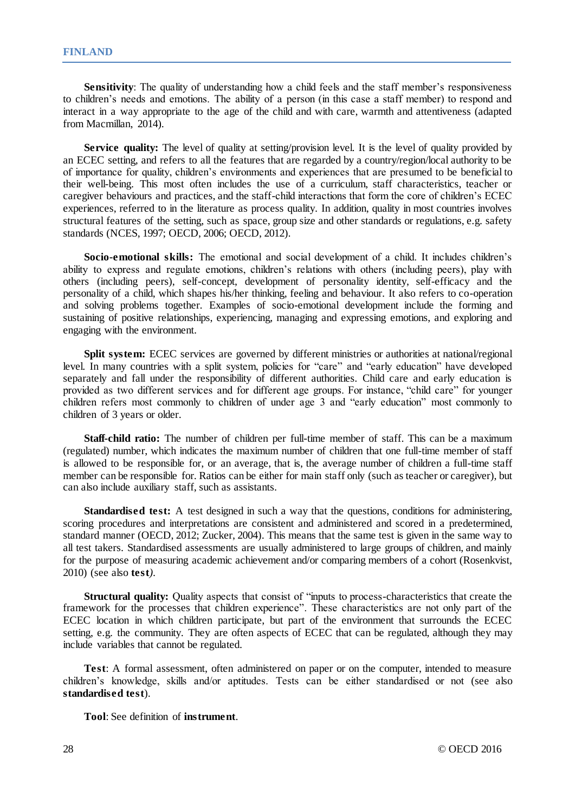**Sensitivity**: The quality of understanding how a child feels and the staff member's responsiveness to children's needs and emotions. The ability of a person (in this case a staff member) to respond and interact in a way appropriate to the age of the child and with care, warmth and attentiveness (adapted from Macmillan, 2014).

**Service quality:** The level of quality at setting/provision level. It is the level of quality provided by an ECEC setting, and refers to all the features that are regarded by a country/region/local authority to be of importance for quality, children's environments and experiences that are presumed to be beneficial to their well-being. This most often includes the use of a curriculum, staff characteristics, teacher or caregiver behaviours and practices, and the staff-child interactions that form the core of children's ECEC experiences, referred to in the literature as process quality. In addition, quality in most countries involves structural features of the setting, such as space, group size and other standards or regulations, e.g. safety standards (NCES, 1997; OECD, 2006; OECD, 2012).

**Socio-emotional skills:** The emotional and social development of a child. It includes children's ability to express and regulate emotions, children's relations with others (including peers), play with others (including peers), self-concept, development of personality identity, self-efficacy and the personality of a child, which shapes his/her thinking, feeling and behaviour. It also refers to co-operation and solving problems together. Examples of socio-emotional development include the forming and sustaining of positive relationships, experiencing, managing and expressing emotions, and exploring and engaging with the environment.

**Split system:** ECEC services are governed by different ministries or authorities at national/regional level. In many countries with a split system, policies for "care" and "early education" have developed separately and fall under the responsibility of different authorities. Child care and early education is provided as two different services and for different age groups. For instance, "child care" for younger children refers most commonly to children of under age 3 and "early education" most commonly to children of 3 years or older.

**Staff-child ratio:** The number of children per full-time member of staff. This can be a maximum (regulated) number, which indicates the maximum number of children that one full-time member of staff is allowed to be responsible for, or an average, that is, the average number of children a full-time staff member can be responsible for. Ratios can be either for main staff only (such as teacher or caregiver), but can also include auxiliary staff, such as assistants.

**Standardised test:** A test designed in such a way that the questions, conditions for administering, scoring procedures and interpretations are consistent and administered and scored in a predetermined, standard manner (OECD, 2012; Zucker, 2004). This means that the same test is given in the same way to all test takers. Standardised assessments are usually administered to large groups of children, and mainly for the purpose of measuring academic achievement and/or comparing members of a cohort (Rosenkvist, 2010) (see also **test***)*.

**Structural quality:** Quality aspects that consist of "inputs to process-characteristics that create the framework for the processes that children experience". These characteristics are not only part of the ECEC location in which children participate, but part of the environment that surrounds the ECEC setting, e.g. the community. They are often aspects of ECEC that can be regulated, although they may include variables that cannot be regulated.

**Test**: A formal assessment, often administered on paper or on the computer, intended to measure children's knowledge, skills and/or aptitudes. Tests can be either standardised or not (see also **standardised test**).

**Tool**: See definition of **instrument**.